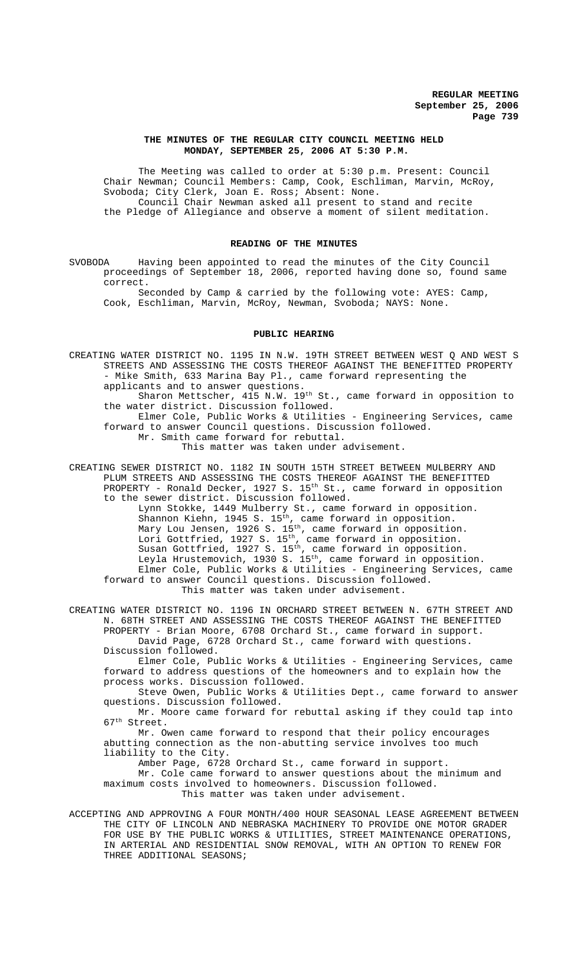#### **THE MINUTES OF THE REGULAR CITY COUNCIL MEETING HELD MONDAY, SEPTEMBER 25, 2006 AT 5:30 P.M.**

The Meeting was called to order at 5:30 p.m. Present: Council Chair Newman; Council Members: Camp, Cook, Eschliman, Marvin, McRoy, Svoboda; City Clerk, Joan E. Ross; Absent: None. Council Chair Newman asked all present to stand and recite the Pledge of Allegiance and observe a moment of silent meditation.

### **READING OF THE MINUTES**

SVOBODA Having been appointed to read the minutes of the City Council proceedings of September 18, 2006, reported having done so, found same correct.

Seconded by Camp & carried by the following vote: AYES: Camp, Cook, Eschliman, Marvin, McRoy, Newman, Svoboda; NAYS: None.

#### **PUBLIC HEARING**

CREATING WATER DISTRICT NO. 1195 IN N.W. 19TH STREET BETWEEN WEST Q AND WEST S STREETS AND ASSESSING THE COSTS THEREOF AGAINST THE BENEFITTED PROPERTY - Mike Smith, 633 Marina Bay Pl., came forward representing the applicants and to answer questions. Sharon Mettscher, 415 N.W. 19<sup>th</sup> St., came forward in opposition to the water district. Discussion followed.

Elmer Cole, Public Works & Utilities - Engineering Services, came forward to answer Council questions. Discussion followed. Mr. Smith came forward for rebuttal.

This matter was taken under advisement.

CREATING SEWER DISTRICT NO. 1182 IN SOUTH 15TH STREET BETWEEN MULBERRY AND PLUM STREETS AND ASSESSING THE COSTS THEREOF AGAINST THE BENEFITTED PROPERTY - Ronald Decker, 1927 S. 15<sup>th</sup> St., came forward in opposition to the sewer district. Discussion followed. Lynn Stokke, 1449 Mulberry St., came forward in opposition. Shannon Kiehn, 1945 S. 15<sup>th</sup>, came forward in opposition. Mary Lou Jensen, 1926 S. 15<sup>th</sup>, came forward in opposition. Lori Gottfried, 1927 S. 15<sup>th</sup>, came forward in opposition. Susan Gottfried, 1927 S.  $15<sup>th</sup>$ , came forward in opposition.

Leyla Hrustemovich, 1930 S. 15<sup>th</sup>, came forward in opposition. Elmer Cole, Public Works & Utilities - Engineering Services, came forward to answer Council questions. Discussion followed. This matter was taken under advisement.

CREATING WATER DISTRICT NO. 1196 IN ORCHARD STREET BETWEEN N. 67TH STREET AND N. 68TH STREET AND ASSESSING THE COSTS THEREOF AGAINST THE BENEFITTED PROPERTY - Brian Moore, 6708 Orchard St., came forward in support. David Page, 6728 Orchard St., came forward with questions. Discussion followed.

Elmer Cole, Public Works & Utilities - Engineering Services, came forward to address questions of the homeowners and to explain how the process works. Discussion followed.

Steve Owen, Public Works & Utilities Dept., came forward to answer questions. Discussion followed.

Mr. Moore came forward for rebuttal asking if they could tap into  $67<sup>th</sup>$  Street.

Mr. Owen came forward to respond that their policy encourages abutting connection as the non-abutting service involves too much liability to the City.

Amber Page, 6728 Orchard St., came forward in support.

Mr. Cole came forward to answer questions about the minimum and maximum costs involved to homeowners. Discussion followed. This matter was taken under advisement.

ACCEPTING AND APPROVING A FOUR MONTH/400 HOUR SEASONAL LEASE AGREEMENT BETWEEN THE CITY OF LINCOLN AND NEBRASKA MACHINERY TO PROVIDE ONE MOTOR GRADER FOR USE BY THE PUBLIC WORKS & UTILITIES, STREET MAINTENANCE OPERATIONS, IN ARTERIAL AND RESIDENTIAL SNOW REMOVAL, WITH AN OPTION TO RENEW FOR THREE ADDITIONAL SEASONS;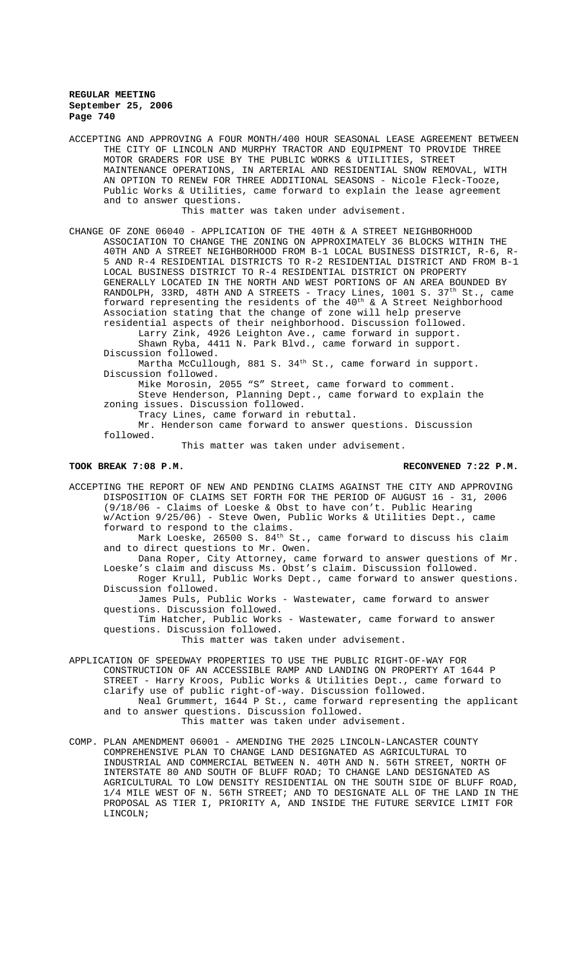ACCEPTING AND APPROVING A FOUR MONTH/400 HOUR SEASONAL LEASE AGREEMENT BETWEEN THE CITY OF LINCOLN AND MURPHY TRACTOR AND EQUIPMENT TO PROVIDE THREE MOTOR GRADERS FOR USE BY THE PUBLIC WORKS & UTILITIES, STREET MAINTENANCE OPERATIONS, IN ARTERIAL AND RESIDENTIAL SNOW REMOVAL, WITH AN OPTION TO RENEW FOR THREE ADDITIONAL SEASONS - Nicole Fleck-Tooze, Public Works & Utilities, came forward to explain the lease agreement and to answer questions.

This matter was taken under advisement.

CHANGE OF ZONE 06040 - APPLICATION OF THE 40TH & A STREET NEIGHBORHOOD ASSOCIATION TO CHANGE THE ZONING ON APPROXIMATELY 36 BLOCKS WITHIN THE 40TH AND A STREET NEIGHBORHOOD FROM B-1 LOCAL BUSINESS DISTRICT, R-6, R-5 AND R-4 RESIDENTIAL DISTRICTS TO R-2 RESIDENTIAL DISTRICT AND FROM B-1 LOCAL BUSINESS DISTRICT TO R-4 RESIDENTIAL DISTRICT ON PROPERTY GENERALLY LOCATED IN THE NORTH AND WEST PORTIONS OF AN AREA BOUNDED BY RANDOLPH, 33RD, 48TH AND A STREETS - Tracy Lines, 1001 S. 37<sup>th</sup> St., came forward representing the residents of the  $40^{th}$  & A Street Neighborhood Association stating that the change of zone will help preserve residential aspects of their neighborhood. Discussion followed.

Larry Zink, 4926 Leighton Ave., came forward in support. Shawn Ryba, 4411 N. Park Blvd., came forward in support.

Discussion followed.

Martha McCullough, 881 S. 34<sup>th</sup> St., came forward in support. Discussion followed.

Mike Morosin, 2055 "S" Street, came forward to comment. Steve Henderson, Planning Dept., came forward to explain the zoning issues. Discussion followed.

Tracy Lines, came forward in rebuttal.

Mr. Henderson came forward to answer questions. Discussion followed.

This matter was taken under advisement.

#### **TOOK BREAK 7:08 P.M. RECONVENED 7:22 P.M.**

ACCEPTING THE REPORT OF NEW AND PENDING CLAIMS AGAINST THE CITY AND APPROVING DISPOSITION OF CLAIMS SET FORTH FOR THE PERIOD OF AUGUST 16 - 31, 2006 (9/18/06 - Claims of Loeske & Obst to have con't. Public Hearing w/Action 9/25/06) - Steve Owen, Public Works & Utilities Dept., came forward to respond to the claims. Mark Loeske, 26500 S. 84<sup>th</sup> St., came forward to discuss his claim

and to direct questions to Mr. Owen. Dana Roper, City Attorney, came forward to answer questions of Mr.

Loeske's claim and discuss Ms. Obst's claim. Discussion followed. Roger Krull, Public Works Dept., came forward to answer questions. Discussion followed.

James Puls, Public Works - Wastewater, came forward to answer questions. Discussion followed.

Tim Hatcher, Public Works - Wastewater, came forward to answer questions. Discussion followed.

This matter was taken under advisement.

APPLICATION OF SPEEDWAY PROPERTIES TO USE THE PUBLIC RIGHT-OF-WAY FOR CONSTRUCTION OF AN ACCESSIBLE RAMP AND LANDING ON PROPERTY AT 1644 P STREET - Harry Kroos, Public Works & Utilities Dept., came forward to clarify use of public right-of-way. Discussion followed. Neal Grummert, 1644 P St., came forward representing the applicant and to answer questions. Discussion followed. This matter was taken under advisement.

COMP. PLAN AMENDMENT 06001 - AMENDING THE 2025 LINCOLN-LANCASTER COUNTY COMPREHENSIVE PLAN TO CHANGE LAND DESIGNATED AS AGRICULTURAL TO INDUSTRIAL AND COMMERCIAL BETWEEN N. 40TH AND N. 56TH STREET, NORTH OF INTERSTATE 80 AND SOUTH OF BLUFF ROAD; TO CHANGE LAND DESIGNATED AS AGRICULTURAL TO LOW DENSITY RESIDENTIAL ON THE SOUTH SIDE OF BLUFF ROAD, 1/4 MILE WEST OF N. 56TH STREET; AND TO DESIGNATE ALL OF THE LAND IN THE PROPOSAL AS TIER I, PRIORITY A, AND INSIDE THE FUTURE SERVICE LIMIT FOR LINCOLN;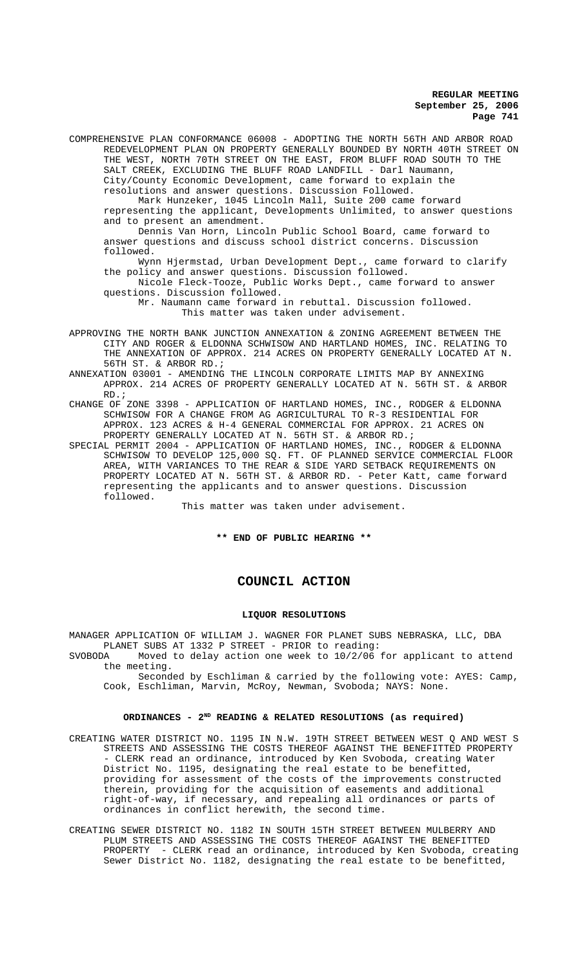COMPREHENSIVE PLAN CONFORMANCE 06008 - ADOPTING THE NORTH 56TH AND ARBOR ROAD REDEVELOPMENT PLAN ON PROPERTY GENERALLY BOUNDED BY NORTH 40TH STREET ON THE WEST, NORTH 70TH STREET ON THE EAST, FROM BLUFF ROAD SOUTH TO THE SALT CREEK, EXCLUDING THE BLUFF ROAD LANDFILL - Darl Naumann, City/County Economic Development, came forward to explain the resolutions and answer questions. Discussion Followed. Mark Hunzeker, 1045 Lincoln Mall, Suite 200 came forward representing the applicant, Developments Unlimited, to answer questions and to present an amendment. Dennis Van Horn, Lincoln Public School Board, came forward to answer questions and discuss school district concerns. Discussion followed. Wynn Hjermstad, Urban Development Dept., came forward to clarify the policy and answer questions. Discussion followed. Nicole Fleck-Tooze, Public Works Dept., came forward to answer questions. Discussion followed. Mr. Naumann came forward in rebuttal. Discussion followed. This matter was taken under advisement.

APPROVING THE NORTH BANK JUNCTION ANNEXATION & ZONING AGREEMENT BETWEEN THE CITY AND ROGER & ELDONNA SCHWISOW AND HARTLAND HOMES, INC. RELATING TO THE ANNEXATION OF APPROX. 214 ACRES ON PROPERTY GENERALLY LOCATED AT N. 56TH ST. & ARBOR RD.;

- ANNEXATION 03001 AMENDING THE LINCOLN CORPORATE LIMITS MAP BY ANNEXING APPROX. 214 ACRES OF PROPERTY GENERALLY LOCATED AT N. 56TH ST. & ARBOR RD.;
- CHANGE OF ZONE 3398 APPLICATION OF HARTLAND HOMES, INC., RODGER & ELDONNA SCHWISOW FOR A CHANGE FROM AG AGRICULTURAL TO R-3 RESIDENTIAL FOR APPROX. 123 ACRES & H-4 GENERAL COMMERCIAL FOR APPROX. 21 ACRES ON PROPERTY GENERALLY LOCATED AT N. 56TH ST. & ARBOR RD.;

SPECIAL PERMIT 2004 - APPLICATION OF HARTLAND HOMES, INC., RODGER & ELDONNA SCHWISOW TO DEVELOP 125,000 SQ. FT. OF PLANNED SERVICE COMMERCIAL FLOOR AREA, WITH VARIANCES TO THE REAR & SIDE YARD SETBACK REQUIREMENTS ON PROPERTY LOCATED AT N. 56TH ST. & ARBOR RD. - Peter Katt, came forward representing the applicants and to answer questions. Discussion followed.

This matter was taken under advisement.

**\*\* END OF PUBLIC HEARING \*\***

# **COUNCIL ACTION**

#### **LIQUOR RESOLUTIONS**

MANAGER APPLICATION OF WILLIAM J. WAGNER FOR PLANET SUBS NEBRASKA, LLC, DBA PLANET SUBS AT 1332 P STREET - PRIOR to reading:<br>SVORODA Moved to delay action one week to 10/2/06

Moved to delay action one week to 10/2/06 for applicant to attend the meeting.

Seconded by Eschliman & carried by the following vote: AYES: Camp, Cook, Eschliman, Marvin, McRoy, Newman, Svoboda; NAYS: None.

# **ORDINANCES - 2ND READING & RELATED RESOLUTIONS (as required)**

- CREATING WATER DISTRICT NO. 1195 IN N.W. 19TH STREET BETWEEN WEST Q AND WEST S STREETS AND ASSESSING THE COSTS THEREOF AGAINST THE BENEFITTED PROPERTY - CLERK read an ordinance, introduced by Ken Svoboda, creating Water District No. 1195, designating the real estate to be benefitted, providing for assessment of the costs of the improvements constructed therein, providing for the acquisition of easements and additional right-of-way, if necessary, and repealing all ordinances or parts of ordinances in conflict herewith, the second time.
- CREATING SEWER DISTRICT NO. 1182 IN SOUTH 15TH STREET BETWEEN MULBERRY AND PLUM STREETS AND ASSESSING THE COSTS THEREOF AGAINST THE BENEFITTED PROPERTY - CLERK read an ordinance, introduced by Ken Svoboda, creating Sewer District No. 1182, designating the real estate to be benefitted,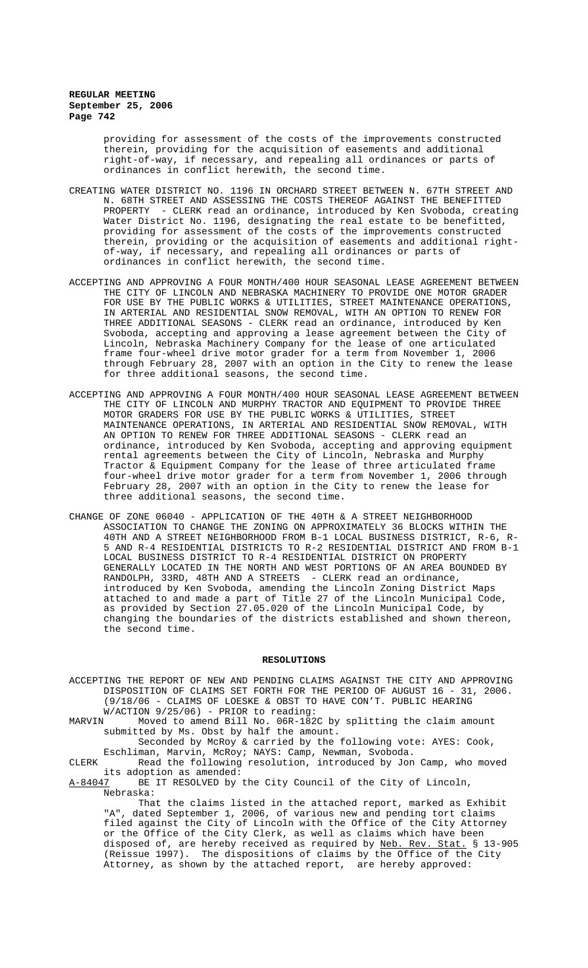providing for assessment of the costs of the improvements constructed therein, providing for the acquisition of easements and additional right-of-way, if necessary, and repealing all ordinances or parts of ordinances in conflict herewith, the second time.

- CREATING WATER DISTRICT NO. 1196 IN ORCHARD STREET BETWEEN N. 67TH STREET AND N. 68TH STREET AND ASSESSING THE COSTS THEREOF AGAINST THE BENEFITTED PROPERTY - CLERK read an ordinance, introduced by Ken Svoboda, creating Water District No. 1196, designating the real estate to be benefitted, providing for assessment of the costs of the improvements constructed therein, providing or the acquisition of easements and additional rightof-way, if necessary, and repealing all ordinances or parts of ordinances in conflict herewith, the second time.
- ACCEPTING AND APPROVING A FOUR MONTH/400 HOUR SEASONAL LEASE AGREEMENT BETWEEN THE CITY OF LINCOLN AND NEBRASKA MACHINERY TO PROVIDE ONE MOTOR GRADER FOR USE BY THE PUBLIC WORKS & UTILITIES, STREET MAINTENANCE OPERATIONS, IN ARTERIAL AND RESIDENTIAL SNOW REMOVAL, WITH AN OPTION TO RENEW FOR THREE ADDITIONAL SEASONS - CLERK read an ordinance, introduced by Ken Svoboda, accepting and approving a lease agreement between the City of Lincoln, Nebraska Machinery Company for the lease of one articulated frame four-wheel drive motor grader for a term from November 1, 2006 through February 28, 2007 with an option in the City to renew the lease for three additional seasons, the second time.
- ACCEPTING AND APPROVING A FOUR MONTH/400 HOUR SEASONAL LEASE AGREEMENT BETWEEN THE CITY OF LINCOLN AND MURPHY TRACTOR AND EQUIPMENT TO PROVIDE THREE MOTOR GRADERS FOR USE BY THE PUBLIC WORKS & UTILITIES, STREET MAINTENANCE OPERATIONS, IN ARTERIAL AND RESIDENTIAL SNOW REMOVAL, WITH AN OPTION TO RENEW FOR THREE ADDITIONAL SEASONS - CLERK read an ordinance, introduced by Ken Svoboda, accepting and approving equipment rental agreements between the City of Lincoln, Nebraska and Murphy Tractor & Equipment Company for the lease of three articulated frame four-wheel drive motor grader for a term from November 1, 2006 through February 28, 2007 with an option in the City to renew the lease for three additional seasons, the second time.
- CHANGE OF ZONE 06040 APPLICATION OF THE 40TH & A STREET NEIGHBORHOOD ASSOCIATION TO CHANGE THE ZONING ON APPROXIMATELY 36 BLOCKS WITHIN THE 40TH AND A STREET NEIGHBORHOOD FROM B-1 LOCAL BUSINESS DISTRICT, R-6, R-5 AND R-4 RESIDENTIAL DISTRICTS TO R-2 RESIDENTIAL DISTRICT AND FROM B-1 LOCAL BUSINESS DISTRICT TO R-4 RESIDENTIAL DISTRICT ON PROPERTY GENERALLY LOCATED IN THE NORTH AND WEST PORTIONS OF AN AREA BOUNDED BY RANDOLPH, 33RD, 48TH AND A STREETS - CLERK read an ordinance, introduced by Ken Svoboda, amending the Lincoln Zoning District Maps attached to and made a part of Title 27 of the Lincoln Municipal Code, as provided by Section 27.05.020 of the Lincoln Municipal Code, by changing the boundaries of the districts established and shown thereon, the second time.

#### **RESOLUTIONS**

ACCEPTING THE REPORT OF NEW AND PENDING CLAIMS AGAINST THE CITY AND APPROVING DISPOSITION OF CLAIMS SET FORTH FOR THE PERIOD OF AUGUST 16 - 31, 2006. (9/18/06 - CLAIMS OF LOESKE & OBST TO HAVE CON'T. PUBLIC HEARING W/ACTION 9/25/06) - PRIOR to reading:<br>MARVIN Moved to amend Bill No. 06R-182

Moved to amend Bill No. 06R-182C by splitting the claim amount submitted by Ms. Obst by half the amount.

Seconded by McRoy & carried by the following vote: AYES: Cook, Eschliman, Marvin, McRoy; NAYS: Camp, Newman, Svoboda.

CLERK Read the following resolution, introduced by Jon Camp, who moved

its adoption as amended:<br>A-84047 BE IT RESOLVED by BE IT RESOLVED by the City Council of the City of Lincoln, Nebraska:

That the claims listed in the attached report, marked as Exhibit "A", dated September 1, 2006, of various new and pending tort claims filed against the City of Lincoln with the Office of the City Attorney or the Office of the City Clerk, as well as claims which have been disposed of, are hereby received as required by Neb. Rev. Stat. § 13-905 (Reissue 1997). The dispositions of claims by the Office of the City Attorney, as shown by the attached report, are hereby approved: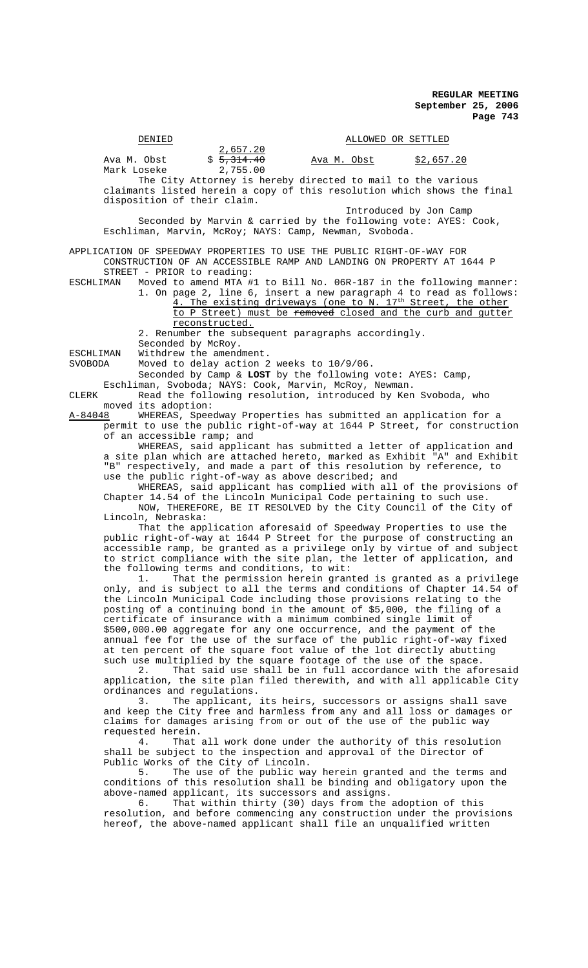|                  | DENIED                     |                                                                                                     |                    | ALLOWED OR SETTLED                                                                                                            |                                                                                                                                                                                                                                                                                                                                                                                                                                                |
|------------------|----------------------------|-----------------------------------------------------------------------------------------------------|--------------------|-------------------------------------------------------------------------------------------------------------------------------|------------------------------------------------------------------------------------------------------------------------------------------------------------------------------------------------------------------------------------------------------------------------------------------------------------------------------------------------------------------------------------------------------------------------------------------------|
|                  | Ava M. Obst<br>Mark Loseke | 2,657.20<br>\$5,314.40<br>2,755.00                                                                  | <u>Ava M. Obst</u> |                                                                                                                               | \$2,657.20                                                                                                                                                                                                                                                                                                                                                                                                                                     |
|                  |                            | disposition of their claim.                                                                         |                    | The City Attorney is hereby directed to mail to the various                                                                   | claimants listed herein a copy of this resolution which shows the final                                                                                                                                                                                                                                                                                                                                                                        |
|                  |                            | Eschliman, Marvin, McRoy; NAYS: Camp, Newman, Svoboda.                                              |                    | Introduced by Jon Camp                                                                                                        | Seconded by Marvin & carried by the following vote: AYES: Cook,                                                                                                                                                                                                                                                                                                                                                                                |
|                  |                            |                                                                                                     |                    | APPLICATION OF SPEEDWAY PROPERTIES TO USE THE PUBLIC RIGHT-OF-WAY FOR                                                         | CONSTRUCTION OF AN ACCESSIBLE RAMP AND LANDING ON PROPERTY AT 1644 P                                                                                                                                                                                                                                                                                                                                                                           |
| ESCHLIMAN        | STREET - PRIOR to reading: | reconstructed.<br>2. Renumber the subsequent paragraphs accordingly.                                |                    |                                                                                                                               | Moved to amend MTA #1 to Bill No. 06R-187 in the following manner:<br>1. On page 2, line 6, insert a new paragraph 4 to read as follows:<br>4. The existing driveways (one to N. 17 <sup>th</sup> Street, the other<br>to P Street) must be removed closed and the curb and gutter                                                                                                                                                             |
| ESCHLIMAN        | Seconded by McRoy.         | Withdrew the amendment.                                                                             |                    |                                                                                                                               |                                                                                                                                                                                                                                                                                                                                                                                                                                                |
| SVOBODA<br>CLERK |                            | Moved to delay action 2 weeks to 10/9/06.<br>Eschliman, Svoboda; NAYS: Cook, Marvin, McRoy, Newman. |                    | Seconded by Camp & LOST by the following vote: AYES: Camp,<br>Read the following resolution, introduced by Ken Svoboda, who   |                                                                                                                                                                                                                                                                                                                                                                                                                                                |
| A-84048          | moved its adoption:        |                                                                                                     |                    |                                                                                                                               | WHEREAS, Speedway Properties has submitted an application for a                                                                                                                                                                                                                                                                                                                                                                                |
|                  |                            | of an accessible ramp; and                                                                          |                    |                                                                                                                               | permit to use the public right-of-way at 1644 P Street, for construction                                                                                                                                                                                                                                                                                                                                                                       |
|                  |                            | use the public right-of-way as above described; and                                                 |                    | Chapter 14.54 of the Lincoln Municipal Code pertaining to such use.                                                           | WHEREAS, said applicant has submitted a letter of application and<br>a site plan which are attached hereto, marked as Exhibit "A" and Exhibit<br>"B" respectively, and made a part of this resolution by reference, to<br>WHEREAS, said applicant has complied with all of the provisions of                                                                                                                                                   |
|                  | Lincoln, Nebraska:         |                                                                                                     |                    |                                                                                                                               | NOW, THEREFORE, BE IT RESOLVED by the City Council of the City of<br>That the application aforesaid of Speedway Properties to use the                                                                                                                                                                                                                                                                                                          |
|                  |                            | the following terms and conditions, to wit:                                                         |                    |                                                                                                                               | public right-of-way at 1644 P Street for the purpose of constructing an<br>accessible ramp, be granted as a privilege only by virtue of and subject<br>to strict compliance with the site plan, the letter of application, and                                                                                                                                                                                                                 |
|                  | 1.                         |                                                                                                     |                    | certificate of insurance with a minimum combined single limit of                                                              | That the permission herein granted is granted as a privilege<br>only, and is subject to all the terms and conditions of Chapter 14.54 of<br>the Lincoln Municipal Code including those provisions relating to the<br>posting of a continuing bond in the amount of \$5,000, the filing of a<br>\$500,000.00 aggregate for any one occurrence, and the payment of the<br>annual fee for the use of the surface of the public right-of-way fixed |
|                  | 2.                         | ordinances and regulations.                                                                         |                    | such use multiplied by the square footage of the use of the space.                                                            | at ten percent of the square foot value of the lot directly abutting<br>That said use shall be in full accordance with the aforesaid<br>application, the site plan filed therewith, and with all applicable City                                                                                                                                                                                                                               |
|                  | 3.<br>requested herein.    |                                                                                                     |                    | claims for damages arising from or out of the use of the public way                                                           | The applicant, its heirs, successors or assigns shall save<br>and keep the City free and harmless from any and all loss or damages or                                                                                                                                                                                                                                                                                                          |
|                  | 4.<br>5.                   | Public Works of the City of Lincoln.                                                                |                    | shall be subject to the inspection and approval of the Director of                                                            | That all work done under the authority of this resolution<br>The use of the public way herein granted and the terms and                                                                                                                                                                                                                                                                                                                        |
|                  |                            | above-named applicant, its successors and assigns.                                                  |                    |                                                                                                                               | conditions of this resolution shall be binding and obligatory upon the                                                                                                                                                                                                                                                                                                                                                                         |
|                  | б.                         |                                                                                                     |                    | That within thirty (30) days from the adoption of this<br>hereof, the above-named applicant shall file an unqualified written | resolution, and before commencing any construction under the provisions                                                                                                                                                                                                                                                                                                                                                                        |
|                  |                            |                                                                                                     |                    |                                                                                                                               |                                                                                                                                                                                                                                                                                                                                                                                                                                                |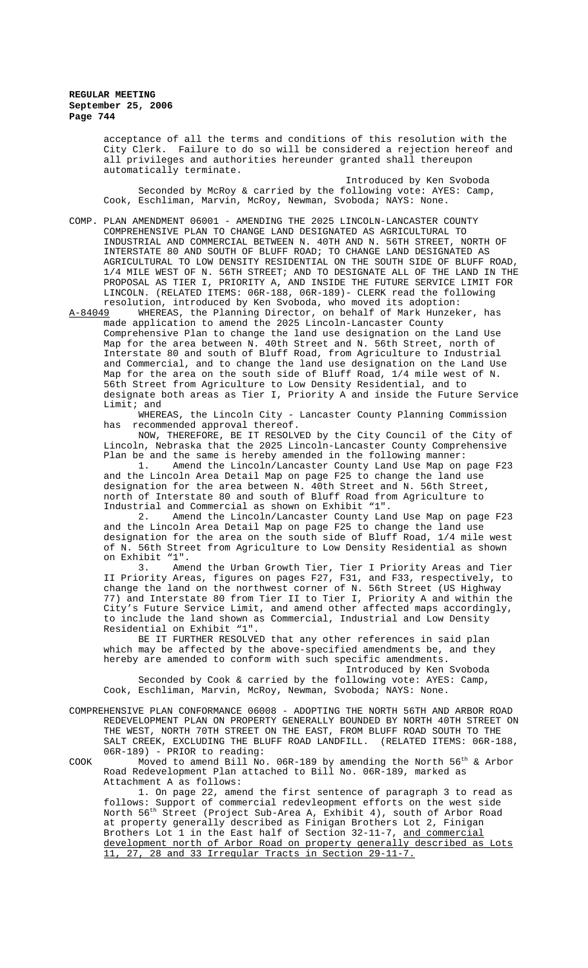acceptance of all the terms and conditions of this resolution with the City Clerk. Failure to do so will be considered a rejection hereof and all privileges and authorities hereunder granted shall thereupon automatically terminate.

Introduced by Ken Svoboda Seconded by McRoy & carried by the following vote: AYES: Camp, Cook, Eschliman, Marvin, McRoy, Newman, Svoboda; NAYS: None.

COMP. PLAN AMENDMENT 06001 - AMENDING THE 2025 LINCOLN-LANCASTER COUNTY COMPREHENSIVE PLAN TO CHANGE LAND DESIGNATED AS AGRICULTURAL TO INDUSTRIAL AND COMMERCIAL BETWEEN N. 40TH AND N. 56TH STREET, NORTH OF INTERSTATE 80 AND SOUTH OF BLUFF ROAD; TO CHANGE LAND DESIGNATED AS AGRICULTURAL TO LOW DENSITY RESIDENTIAL ON THE SOUTH SIDE OF BLUFF ROAD, 1/4 MILE WEST OF N. 56TH STREET; AND TO DESIGNATE ALL OF THE LAND IN THE PROPOSAL AS TIER I, PRIORITY A, AND INSIDE THE FUTURE SERVICE LIMIT FOR LINCOLN. (RELATED ITEMS: 06R-188, 06R-189)- CLERK read the following

resolution, introduced by Ken Svoboda, who moved its adoption:<br>A-84049 WHEREAS, the Planning Director, on behalf of Mark Hunzek WHEREAS, the Planning Director, on behalf of Mark Hunzeker, has made application to amend the 2025 Lincoln-Lancaster County Comprehensive Plan to change the land use designation on the Land Use Map for the area between N. 40th Street and N. 56th Street, north of Interstate 80 and south of Bluff Road, from Agriculture to Industrial and Commercial, and to change the land use designation on the Land Use Map for the area on the south side of Bluff Road, 1/4 mile west of N. 56th Street from Agriculture to Low Density Residential, and to designate both areas as Tier I, Priority A and inside the Future Service Limit; and

WHEREAS, the Lincoln City - Lancaster County Planning Commission has recommended approval thereof.

NOW, THEREFORE, BE IT RESOLVED by the City Council of the City of Lincoln, Nebraska that the 2025 Lincoln-Lancaster County Comprehensive Plan be and the same is hereby amended in the following manner:

1. Amend the Lincoln/Lancaster County Land Use Map on page F23 and the Lincoln Area Detail Map on page F25 to change the land use designation for the area between N. 40th Street and N. 56th Street, north of Interstate 80 and south of Bluff Road from Agriculture to Industrial and Commercial as shown on Exhibit "1".

2. Amend the Lincoln/Lancaster County Land Use Map on page F23 and the Lincoln Area Detail Map on page F25 to change the land use designation for the area on the south side of Bluff Road, 1/4 mile west of N. 56th Street from Agriculture to Low Density Residential as shown on Exhibit "1".

3. Amend the Urban Growth Tier, Tier I Priority Areas and Tier II Priority Areas, figures on pages F27, F31, and F33, respectively, to change the land on the northwest corner of N. 56th Street (US Highway 77) and Interstate 80 from Tier II to Tier I, Priority A and within the City's Future Service Limit, and amend other affected maps accordingly, to include the land shown as Commercial, Industrial and Low Density Residential on Exhibit "1".

BE IT FURTHER RESOLVED that any other references in said plan which may be affected by the above-specified amendments be, and they hereby are amended to conform with such specific amendments.

Introduced by Ken Svoboda Seconded by Cook & carried by the following vote: AYES: Camp, Cook, Eschliman, Marvin, McRoy, Newman, Svoboda; NAYS: None.

COMPREHENSIVE PLAN CONFORMANCE 06008 - ADOPTING THE NORTH 56TH AND ARBOR ROAD REDEVELOPMENT PLAN ON PROPERTY GENERALLY BOUNDED BY NORTH 40TH STREET ON THE WEST, NORTH 70TH STREET ON THE EAST, FROM BLUFF ROAD SOUTH TO THE SALT CREEK, EXCLUDING THE BLUFF ROAD LANDFILL. (RELATED ITEMS: 06R-188, 06R-189) - PRIOR to reading:

COOK Moved to amend Bill No. 06R-189 by amending the North  $56^\mathrm{th}$  & Arbor Road Redevelopment Plan attached to Bill No. 06R-189, marked as Attachment A as follows:

1. On page 22, amend the first sentence of paragraph 3 to read as follows: Support of commercial redevleopment efforts on the west side North 56th Street (Project Sub-Area A, Exhibit 4), south of Arbor Road at property generally described as Finigan Brothers Lot 2, Finigan Brothers Lot 1 in the East half of Section 32-11-7, <u>and commercial</u> development north of Arbor Road on property generally described as Lots 11, 27, 28 and 33 Irregular Tracts in Section 29-11-7.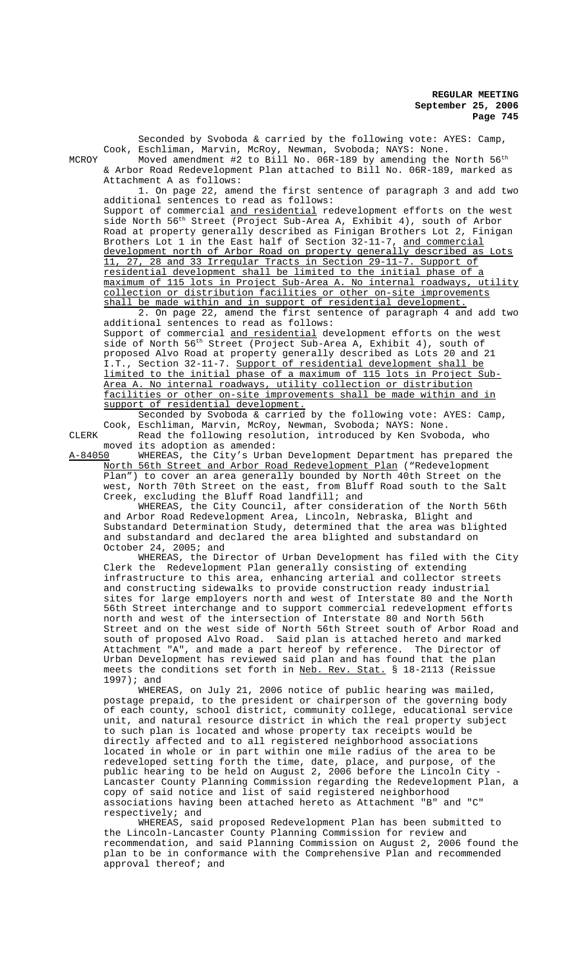Seconded by Svoboda & carried by the following vote: AYES: Camp, Cook, Eschliman, Marvin, McRoy, Newman, Svoboda; NAYS: None. MCROY  $\,$  Moved amendment #2 to Bill No. 06R-189 by amending the North  $56^{\rm th}$ & Arbor Road Redevelopment Plan attached to Bill No. 06R-189, marked as Attachment A as follows: 1. On page 22, amend the first sentence of paragraph 3 and add two additional sentences to read as follows: Support of commercial and residential redevelopment efforts on the west side North 56<sup>th</sup> Street (Project Sub-Area A, Exhibit 4), south of Arbor Road at property generally described as Finigan Brothers Lot 2, Finigan Brothers Lot 1 in the East half of Section 32-11-7, and commercial development north of Arbor Road on property generally described as Lots 11, 27, 28 and 33 Irregular Tracts in Section 29-11-7. Support of residential development shall be limited to the initial phase of a maximum of 115 lots in Project Sub-Area A. No internal roadways, utility collection or distribution facilities or other on-site improvements shall be made within and in support of residential development. 2. On page 22, amend the first sentence of paragraph 4 and add two additional sentences to read as follows: Support of commercial and residential development efforts on the west side of North 56<sup>th</sup> Street (Project Sub-Area A, Exhibit 4), south of proposed Alvo Road at property generally described as Lots 20 and 21 I.T., Section 32-11-7. Support of residential development shall be limited to the initial phase of a maximum of 115 lots in Project Sub-Area A. No internal roadways, utility collection or distribution

facilities or other on-site improvements shall be made within and in support of residential development. Seconded by Svoboda & carried by the following vote: AYES: Camp,

Cook, Eschliman, Marvin, McRoy, Newman, Svoboda; NAYS: None. CLERK Read the following resolution, introduced by Ken Svoboda, who

moved its adoption as amended:<br>A-84050 WHEREAS, the City's Urba WHEREAS, the City's Urban Development Department has prepared the North 56th Street and Arbor Road Redevelopment Plan ("Redevelopment Plan") to cover an area generally bounded by North 40th Street on the west, North 70th Street on the east, from Bluff Road south to the Salt Creek, excluding the Bluff Road landfill; and

WHEREAS, the City Council, after consideration of the North 56th and Arbor Road Redevelopment Area, Lincoln, Nebraska, Blight and Substandard Determination Study, determined that the area was blighted and substandard and declared the area blighted and substandard on October 24, 2005; and

WHEREAS, the Director of Urban Development has filed with the City Clerk the Redevelopment Plan generally consisting of extending infrastructure to this area, enhancing arterial and collector streets and constructing sidewalks to provide construction ready industrial sites for large employers north and west of Interstate 80 and the North 56th Street interchange and to support commercial redevelopment efforts north and west of the intersection of Interstate 80 and North 56th Street and on the west side of North 56th Street south of Arbor Road and south of proposed Alvo Road. Said plan is attached hereto and marked Attachment "A", and made a part hereof by reference. The Director of Urban Development has reviewed said plan and has found that the plan meets the conditions set forth in Neb. Rev. Stat. § 18-2113 (Reissue 1997); and

WHEREAS, on July 21, 2006 notice of public hearing was mailed, postage prepaid, to the president or chairperson of the governing body of each county, school district, community college, educational service unit, and natural resource district in which the real property subject to such plan is located and whose property tax receipts would be directly affected and to all registered neighborhood associations located in whole or in part within one mile radius of the area to be redeveloped setting forth the time, date, place, and purpose, of the public hearing to be held on August 2, 2006 before the Lincoln City - Lancaster County Planning Commission regarding the Redevelopment Plan, a copy of said notice and list of said registered neighborhood associations having been attached hereto as Attachment "B" and "C" respectively; and

WHEREAS, said proposed Redevelopment Plan has been submitted to the Lincoln-Lancaster County Planning Commission for review and recommendation, and said Planning Commission on August 2, 2006 found the plan to be in conformance with the Comprehensive Plan and recommended approval thereof; and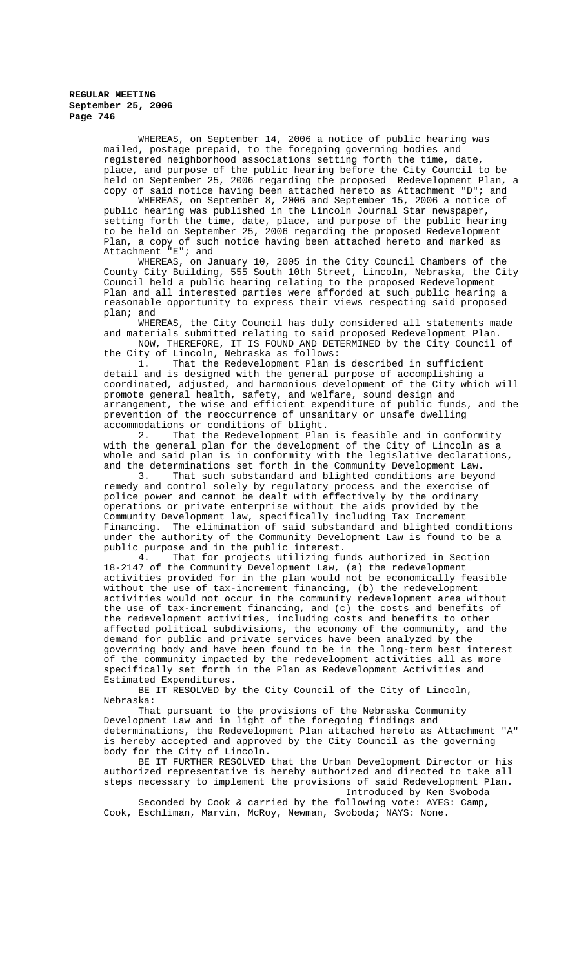WHEREAS, on September 14, 2006 a notice of public hearing was mailed, postage prepaid, to the foregoing governing bodies and registered neighborhood associations setting forth the time, date, place, and purpose of the public hearing before the City Council to be held on September 25, 2006 regarding the proposed Redevelopment Plan, a copy of said notice having been attached hereto as Attachment "D"; and

WHEREAS, on September 8, 2006 and September 15, 2006 a notice of public hearing was published in the Lincoln Journal Star newspaper, setting forth the time, date, place, and purpose of the public hearing to be held on September 25, 2006 regarding the proposed Redevelopment Plan, a copy of such notice having been attached hereto and marked as<br>Attachment "E"; and Attachment

WHEREAS, on January 10, 2005 in the City Council Chambers of the County City Building, 555 South 10th Street, Lincoln, Nebraska, the City Council held a public hearing relating to the proposed Redevelopment Plan and all interested parties were afforded at such public hearing a reasonable opportunity to express their views respecting said proposed plan; and

WHEREAS, the City Council has duly considered all statements made and materials submitted relating to said proposed Redevelopment Plan. NOW, THEREFORE, IT IS FOUND AND DETERMINED by the City Council of the City of Lincoln, Nebraska as follows:

1. That the Redevelopment Plan is described in sufficient detail and is designed with the general purpose of accomplishing a coordinated, adjusted, and harmonious development of the City which will promote general health, safety, and welfare, sound design and arrangement, the wise and efficient expenditure of public funds, and the prevention of the reoccurrence of unsanitary or unsafe dwelling accommodations or conditions of blight.<br>2. That the Redevelopment Plan

That the Redevelopment Plan is feasible and in conformity with the general plan for the development of the City of Lincoln as a whole and said plan is in conformity with the legislative declarations, and the determinations set forth in the Community Development Law.

3. That such substandard and blighted conditions are beyond remedy and control solely by regulatory process and the exercise of police power and cannot be dealt with effectively by the ordinary operations or private enterprise without the aids provided by the Community Development law, specifically including Tax Increment Financing. The elimination of said substandard and blighted conditions under the authority of the Community Development Law is found to be a

public purpose and in the public interest.<br>4. That for projects utilizing fu That for projects utilizing funds authorized in Section 18-2147 of the Community Development Law, (a) the redevelopment activities provided for in the plan would not be economically feasible without the use of tax-increment financing, (b) the redevelopment activities would not occur in the community redevelopment area without the use of tax-increment financing, and (c) the costs and benefits of the redevelopment activities, including costs and benefits to other affected political subdivisions, the economy of the community, and the demand for public and private services have been analyzed by the governing body and have been found to be in the long-term best interest of the community impacted by the redevelopment activities all as more specifically set forth in the Plan as Redevelopment Activities and Estimated Expenditures.

BE IT RESOLVED by the City Council of the City of Lincoln, Nebraska:

That pursuant to the provisions of the Nebraska Community Development Law and in light of the foregoing findings and determinations, the Redevelopment Plan attached hereto as Attachment "A" is hereby accepted and approved by the City Council as the governing body for the City of Lincoln.

BE IT FURTHER RESOLVED that the Urban Development Director or his authorized representative is hereby authorized and directed to take all steps necessary to implement the provisions of said Redevelopment Plan. Introduced by Ken Svoboda

Seconded by Cook & carried by the following vote: AYES: Camp, Cook, Eschliman, Marvin, McRoy, Newman, Svoboda; NAYS: None.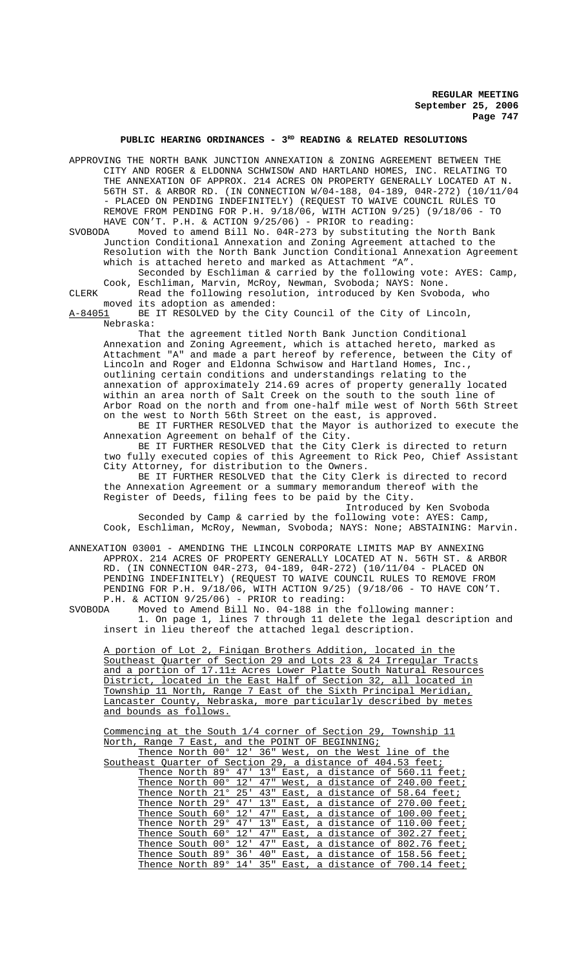# PUBLIC HEARING ORDINANCES - 3<sup>RD</sup> READING & RELATED RESOLUTIONS

APPROVING THE NORTH BANK JUNCTION ANNEXATION & ZONING AGREEMENT BETWEEN THE CITY AND ROGER & ELDONNA SCHWISOW AND HARTLAND HOMES, INC. RELATING TO THE ANNEXATION OF APPROX. 214 ACRES ON PROPERTY GENERALLY LOCATED AT N. 56TH ST. & ARBOR RD. (IN CONNECTION W/04-188, 04-189, 04R-272) (10/11/04 - PLACED ON PENDING INDEFINITELY) (REQUEST TO WAIVE COUNCIL RULES TO REMOVE FROM PENDING FOR P.H. 9/18/06, WITH ACTION 9/25) (9/18/06 - TO HAVE CON'T. P.H. & ACTION 9/25/06) - PRIOR to reading:

SVOBODA Moved to amend Bill No. 04R-273 by substituting the North Bank Junction Conditional Annexation and Zoning Agreement attached to the Resolution with the North Bank Junction Conditional Annexation Agreement which is attached hereto and marked as Attachment "A".

Seconded by Eschliman & carried by the following vote: AYES: Camp, Cook, Eschliman, Marvin, McRoy, Newman, Svoboda; NAYS: None. CLERK Read the following resolution, introduced by Ken Svoboda, who

moved its adoption as amended:

A-84051 BE IT RESOLVED by the City Council of the City of Lincoln, Nebraska:

That the agreement titled North Bank Junction Conditional Annexation and Zoning Agreement, which is attached hereto, marked as Attachment "A" and made a part hereof by reference, between the City of Lincoln and Roger and Eldonna Schwisow and Hartland Homes, Inc., outlining certain conditions and understandings relating to the annexation of approximately 214.69 acres of property generally located within an area north of Salt Creek on the south to the south line of Arbor Road on the north and from one-half mile west of North 56th Street on the west to North 56th Street on the east, is approved.

BE IT FURTHER RESOLVED that the Mayor is authorized to execute the Annexation Agreement on behalf of the City.

BE IT FURTHER RESOLVED that the City Clerk is directed to return two fully executed copies of this Agreement to Rick Peo, Chief Assistant City Attorney, for distribution to the Owners.

BE IT FURTHER RESOLVED that the City Clerk is directed to record the Annexation Agreement or a summary memorandum thereof with the Register of Deeds, filing fees to be paid by the City.

Introduced by Ken Svoboda

Seconded by Camp & carried by the following vote: AYES: Camp, Cook, Eschliman, McRoy, Newman, Svoboda; NAYS: None; ABSTAINING: Marvin.

ANNEXATION 03001 - AMENDING THE LINCOLN CORPORATE LIMITS MAP BY ANNEXING APPROX. 214 ACRES OF PROPERTY GENERALLY LOCATED AT N. 56TH ST. & ARBOR RD. (IN CONNECTION 04R-273, 04-189, 04R-272) (10/11/04 - PLACED ON PENDING INDEFINITELY) (REQUEST TO WAIVE COUNCIL RULES TO REMOVE FROM PENDING FOR P.H. 9/18/06, WITH ACTION 9/25) (9/18/06 - TO HAVE CON'T. P.H. & ACTION 9/25/06) - PRIOR to reading:

SVOBODA Moved to Amend Bill No. 04-188 in the following manner: 1. On page 1, lines 7 through 11 delete the legal description and insert in lieu thereof the attached legal description.

A portion of Lot 2, Finigan Brothers Addition, located in the Southeast Quarter of Section 29 and Lots 23 & 24 Irregular Tracts and a portion of 17.11± Acres Lower Platte South Natural Resources District, located in the East Half of Section 32, all located in Township 11 North, Range 7 East of the Sixth Principal Meridian, Lancaster County, Nebraska, more particularly described by metes and bounds as follows.

Commencing at the South 1/4 corner of Section 29, Township 11 North, Range 7 East, and the POINT OF BEGINNING;

|                          |  |     |     |  | Thence North 00° 12' 36" West, on the West line of the      |  |  |
|--------------------------|--|-----|-----|--|-------------------------------------------------------------|--|--|
|                          |  |     |     |  | Southeast Ouarter of Section 29, a distance of 404.53 feet; |  |  |
|                          |  |     |     |  | Thence North 89° 47' 13" East, a distance of 560.11 feet;   |  |  |
| Thence North 00° 12'     |  |     | 47" |  | West, a distance of 240.00 feet;                            |  |  |
| Thence North 21° 25'     |  |     | 43" |  | East, a distance of 58.64 feet;                             |  |  |
| Thence North 29° 47' 13" |  |     |     |  | East, a distance of 270.00 feet;                            |  |  |
| Thence South 60°         |  | 12' | 47" |  | East, a distance of 100.00 feet;                            |  |  |
| Thence North 29° 47' 13" |  |     |     |  | East, a distance of 110.00 feet;                            |  |  |
| Thence South 60°         |  | 12' | 47" |  | East, a distance of 302.27 feet;                            |  |  |
| Thence South 00°         |  | 12' | 47" |  | East, a distance of 802.76 feet;                            |  |  |
| Thence South 89°         |  | 36' | 40" |  | East, a distance of 158.56 feet;                            |  |  |
|                          |  |     |     |  | Thence North 89° 14' 35" East, a distance of 700.14 feet;   |  |  |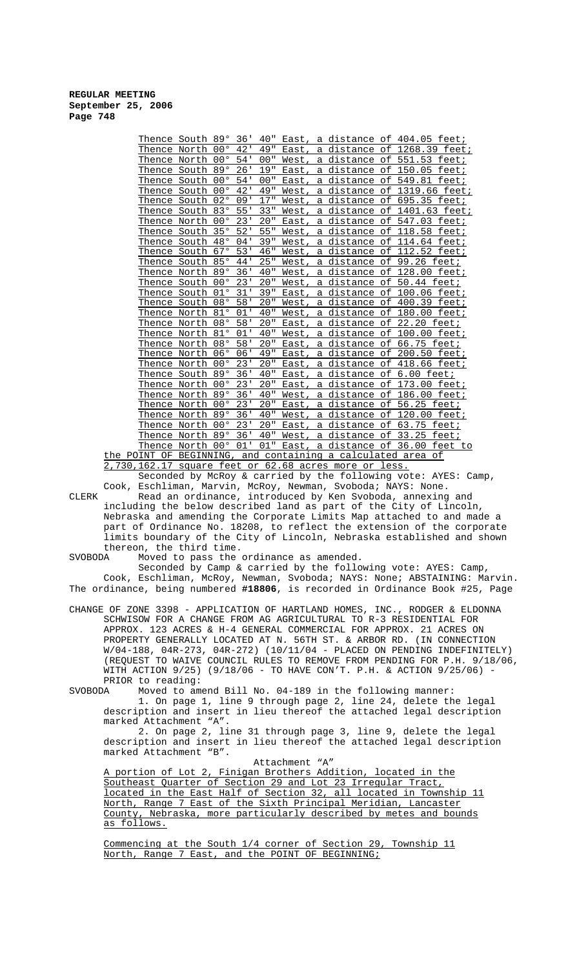| Thence South 89°                   |       |              | 36' | 40" | East, |   | a distance of 404.05                |           | feet;                   |
|------------------------------------|-------|--------------|-----|-----|-------|---|-------------------------------------|-----------|-------------------------|
| Thence North                       |       | $00^{\circ}$ | 42' | 49" | East, |   | a distance of                       |           | 1268.39 feet;           |
| Thence North                       |       | $00^{\circ}$ | 54' | 00" | West  |   | a distance of                       |           | 551.53 feet;            |
| Thence                             | South | 890          | 26' | 19" | East  | а | distance                            | оf        | 150.05<br>feet;         |
| Thence                             | South | $00^{\circ}$ | 54' | 00" | East, | a | distance                            | оf        | feet;<br>549.81         |
| Thence South                       |       | $00^{\circ}$ | 42' | 49" | West, | a | distance of                         |           | 1319.66 feet;           |
| Thence                             | South | 02°          | 09' | 17" | West  | a | distance                            | оf        | 695.35<br>feet:         |
| Thence South                       |       | 830          | 55' | 33" | West  |   | a distance of                       |           | 1401.63 feet;           |
| Thence North                       |       | $00^{\circ}$ | 23' | 20" | East  | a | distance                            | оf        | 547.03<br>feet:         |
| Thence South                       |       | 35°          | 52' | 55" | West  | а | distance                            | оf        | 118.58<br>feet;         |
| Thence South                       |       | 48°          | 04' | 39" | West, |   | a distance of                       |           | 114.64<br>feet;         |
| Thence South                       |       | 67°          | 53' | 46" | West  | a | distance of                         |           | 112.52<br>feet;         |
| Thence South                       |       | 85°          | 44' | 25" | West, | a | distance                            | $\circ$ f | 99.26 feet;             |
| Thence North                       |       | 89°          | 36' | 40" | West, |   | a distance of                       |           | 128.00<br>feet:         |
| Thence                             | South | $00^{\circ}$ | 23' | 20" | West  | а | distance                            | оf        | 50.44<br>feet;          |
| Thence South                       |       | $01^{\circ}$ | 31' | 39" | East, |   | a distance of                       |           | 100.06 feet;            |
| Thence                             | South | 08°          | 58' | 20" | West, | a | distance                            | оf        | 400.39<br>feet:         |
| Thence North                       |       | 81°          | 01' | 40" | West, | a | <u>distance of</u>                  |           | 180.00<br>feet;         |
| Thence North                       |       | 08°          | 58' | 20" | East  | a | distance of                         |           | 22.20<br>feet;          |
| Thence                             | North | 81°          | 01' | 40" | West  | а | distance                            | οf        | 100.00<br>feet:         |
| Thence North                       |       | 08°          | 58' | 20" | East, | a | distance                            | оf        | 66.75<br>feet;          |
| Thence North 06°                   |       |              | 06' | 49" | East, |   | a distance of                       |           | 200.50<br>fe <u>et;</u> |
| Thence North                       |       | $00^{\circ}$ | 23' | 20" | East  | a | distance                            | оf        | 418.66<br>feet;         |
| Thence South                       |       | 89°          | 36' | 40" | East  | a | <u>distance of</u>                  |           | $6.00$ feet;            |
| Thence                             | North | $00^{\circ}$ | 23' | 20" | East  | a | distance                            | оf        | 173.00<br>feet:         |
| Thence                             | North | 890          | 36' | 40" | West, | a | distance                            | оf        | <u>186.00</u><br>feet;  |
| Thence North                       |       | $00^{\circ}$ | 23' | 20" | East  | a | distance of                         |           | 56.25<br>feet;          |
| Thence North                       |       | 890          | 36' | 40" | West, | а | distance                            | оf        | 120.00<br><u>feet;</u>  |
| Thence North                       |       | $00^{\circ}$ | 23' | 20" | East  |   | a distance of                       |           | 63.75<br>feet:          |
| Thence                             | North | 89°          | 36' | 40" | West, | a | distance                            | оf        | 33.25<br>feet:          |
| Thence North                       |       | $00^{\circ}$ | 01' | 01" | East, |   | a distance of 36.00                 |           | feet to                 |
| $\cap$ דמות היחס היה היותדת $\cap$ |       |              |     |     |       |   | and gontaining a galgulated area of |           |                         |

the POINT OF BEGINNING, and containing a calculated area of 2,730,162.17 square feet or 62.68 acres more or less.

Cook, Eschliman, Marvin, McRoy, Newman, Svoboda; NAYS: None. CLERK Read an ordinance, introduced by Ken Svoboda, annexing and including the below described land as part of the City of Lincoln, Nebraska and amending the Corporate Limits Map attached to and made a part of Ordinance No. 18208, to reflect the extension of the corporate limits boundary of the City of Lincoln, Nebraska established and shown thereon, the third time.

Seconded by McRoy & carried by the following vote: AYES: Camp,

SVOBODA Moved to pass the ordinance as amended.

Seconded by Camp & carried by the following vote: AYES: Camp, Cook, Eschliman, McRoy, Newman, Svoboda; NAYS: None; ABSTAINING: Marvin. The ordinance, being numbered **#18806**, is recorded in Ordinance Book #25, Page

CHANGE OF ZONE 3398 - APPLICATION OF HARTLAND HOMES, INC., RODGER & ELDONNA SCHWISOW FOR A CHANGE FROM AG AGRICULTURAL TO R-3 RESIDENTIAL FOR APPROX. 123 ACRES & H-4 GENERAL COMMERCIAL FOR APPROX. 21 ACRES ON PROPERTY GENERALLY LOCATED AT N. 56TH ST. & ARBOR RD. (IN CONNECTION W/04-188, 04R-273, 04R-272) (10/11/04 - PLACED ON PENDING INDEFINITELY) (REQUEST TO WAIVE COUNCIL RULES TO REMOVE FROM PENDING FOR P.H. 9/18/06, WITH ACTION 9/25) (9/18/06 - TO HAVE CON'T. P.H. & ACTION 9/25/06) - PRIOR to reading:<br>SVOBODA Moved to am

Moved to amend Bill No. 04-189 in the following manner: 1. On page 1, line 9 through page 2, line 24, delete the legal

description and insert in lieu thereof the attached legal description marked Attachment "A". 2. On page 2, line 31 through page 3, line 9, delete the legal

description and insert in lieu thereof the attached legal description marked Attachment "B". Attachment "A"

A portion of Lot 2, Finigan Brothers Addition, located in the Southeast Quarter of Section 29 and Lot 23 Irregular Tract, located in the East Half of Section 32, all located in Township 11 North, Range 7 East of the Sixth Principal Meridian, Lancaster County, Nebraska, more particularly described by metes and bounds as follows.

Commencing at the South 1/4 corner of Section 29, Township 11 North, Range 7 East, and the POINT OF BEGINNING;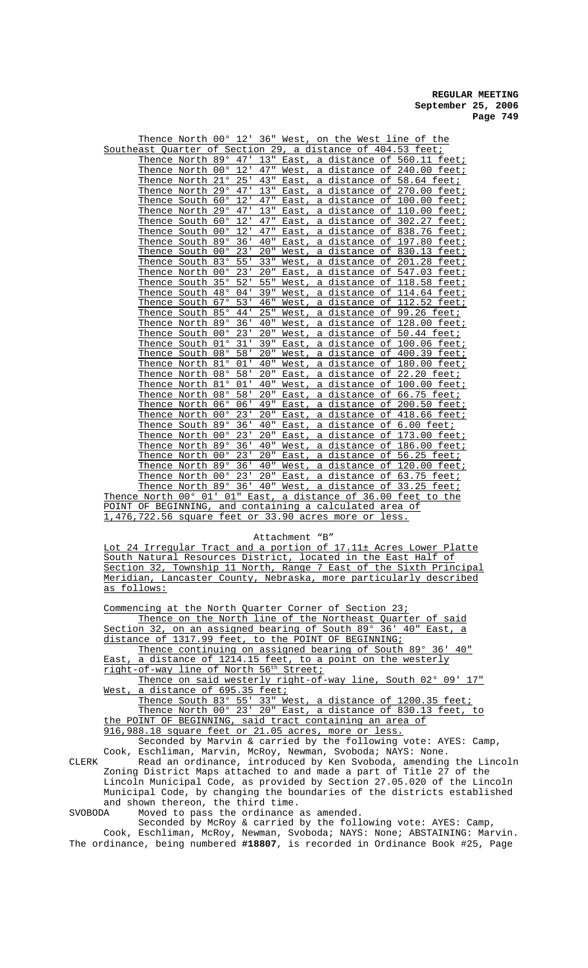|  | Thence North 00° 12' 36" West, on the West line of the  |                  |         |     |                                     |              |                      |           |                                 |           |
|--|---------------------------------------------------------|------------------|---------|-----|-------------------------------------|--------------|----------------------|-----------|---------------------------------|-----------|
|  | Southeast Quarter of Section 29,                        |                  |         |     |                                     |              |                      |           | a distance of 404.53 feet;      |           |
|  | Thence North 89°                                        |                  | 47'     | 13" | East,                               |              |                      |           | a distance of 560.11 feet;      |           |
|  | Thence North                                            | $00^{\circ}$     | 12'     | 47" | West,                               |              |                      |           | a distance of 240.00 feet;      |           |
|  | Thence North                                            | 21°              | 25'     | 43" | East,                               | а            | distance             | оf        | 58.64 feet;                     |           |
|  | Thence North                                            | 29°              | 47'     | 13" | East,                               | a            | <u>distance of</u>   |           | 270.00 feet;                    |           |
|  | <u>Thence South</u>                                     | 60°              | 12'     | 47" | East,                               | $\mathsf{a}$ | <u>distance of</u>   |           | 100.00                          | feet;     |
|  | Thence North                                            | 29°              | 47'     | 13" | East                                | a            | di <u>stance</u>     | оf        | 110.00                          | feet;     |
|  | Thence South                                            | 60°              | 12'     | 47" | East                                | а            | distance             | оf        | 302.27                          | feet;     |
|  | Thence South                                            | $00^{\circ}$     | 12'     | 47" | East                                | a            | distance             | оf        | 838.76                          | feet;     |
|  | <u>Thence South</u>                                     | 890              | 36'     | 40" | East                                | a            | <u>distance</u>      | $\circ$ f | 197.80                          | feet;     |
|  | Thence South                                            | $00^{\circ}$ 23' |         | 20" | West                                | a            | distance of          |           | 830.13 feet;                    |           |
|  | <u>Thence So</u> uth                                    | $83^{\circ}$ 55' |         | 33" | West,                               |              | a distance of        |           | 201                             | .28 feet; |
|  | Thence North                                            | $00^{\circ}$     | 23'     | 20" | East,                               |              | a distance of        |           | 547.03 feet;                    |           |
|  | <u>Thence So</u> uth                                    | 350              | 52'     | 55" | West,                               |              | <u>a distance of</u> |           | 118.58 feet;                    |           |
|  | <u>Thence So</u> uth                                    | 48°              | 04'     | 39" | West,                               |              | a distance of        |           | 114.64 feet;                    |           |
|  | Thence South                                            | 67°              | 53'     | 46" | West,                               |              | a distance of        |           | 112.52 feet;                    |           |
|  | Thence South                                            | 85°              | 44'     | 25" | West,                               |              | a distance of        |           | 99.26 feet;                     |           |
|  | Thence North                                            | 890              | 36'     | 40" | West,                               |              | a distance of        |           | 128.00 feet;                    |           |
|  | Thence South                                            | $00^{\circ}$     | 23'     | 20" | West,                               | a            |                      |           | distance of 50.44 feet;         |           |
|  | Thence South                                            | $01^{\circ}$     | 31'     | 39" | <b>East</b>                         | а            | distance             | оf        | 100.06 feet;                    |           |
|  | Thence South                                            | 08°              | 58'     | 20" | West,                               | а            | di <u>stance</u>     | оf        | $400.39$ feet;                  |           |
|  | Thence North                                            | 81°              | 01'     | 40" | West,                               | a            | di <u>stance</u>     | оf        | 180.00 feet;                    |           |
|  | Thence North                                            | 08°              | 58'     | 20" | East                                | а            | distance             | $\circ$ f | 22.20                           | feet;     |
|  | Thence North                                            | 81°              | 01'     | 40" | West                                | a            | distance             | оf        | 100.00                          | feet;     |
|  | Thence North                                            | 08°              | 58'     | 20" | East,                               | а            | distance             | of        | $66.75$ feet;                   |           |
|  | Thence North                                            | 06°              | 06'     | 49" | East,                               | а            | distance of          |           | $200.50$ feet;                  |           |
|  | Thence North                                            | $00^{\circ}$     | 23'     | 20" | East,                               | a            |                      |           | distance of 418.66 feet;        |           |
|  | Thence South                                            | 890              | 36'     | 40" | East,                               | а            | distance of          |           | $6.00$ feet;                    |           |
|  | Thence North                                            | $00^{\circ}$     | 23'     | 20" | East,                               | а            | distance             | оf        | 173.00                          | feet;     |
|  | Thence North                                            | 890              | 36'     | 40" | West,                               | a            | distance             | оf        | 186.00 feet;                    |           |
|  | <u>Thence North</u>                                     | $00^{\circ}$     | 23'     | 20" | East,                               | а            | distance             |           | of 56.25 feet;                  |           |
|  | <u>Thence North</u>                                     |                  | 89° 36' | 40" | West                                |              |                      |           | a distance of 120.00 feet;      |           |
|  | Thence North                                            | $00^{\circ}$     | 23'     | 20" | <b>East</b>                         | а            | distance             | of        | 63.75 feet;                     |           |
|  | Thence North                                            | 890              | 36'     | 40" | West                                |              | <u>a distance </u>   | оf        | 33.25                           | feet;     |
|  | Thence North 00° 01' 01" East,                          |                  |         |     |                                     |              |                      |           | a distance of 36.00 feet to the |           |
|  | POINT OF BEGINNING,                                     |                  |         |     | and containing a calculated area of |              |                      |           |                                 |           |
|  | $1,476,722.56$ square feet or 33.90 acres more or less. |                  |         |     |                                     |              |                      |           |                                 |           |

#### Attachment "B"

Lot 24 Irregular Tract and a portion of 17.11± Acres Lower Platte South Natural Resources District, located in the East Half of Section 32, Township 11 North, Range 7 East of the Sixth Principal Meridian, Lancaster County, Nebraska, more particularly described as follows:

Commencing at the North Quarter Corner of Section 23;

Thence on the North line of the Northeast Quarter of said Section 32, on an assigned bearing of South 89° 36' 40" East, a distance of 1317.99 feet, to the POINT OF BEGINNING; Thence continuing on assigned bearing of South 89° 36' 40" East, a distance of 1214.15 feet, to a point on the westerly

<u>right-of-way line of North 56th Street;</u> Thence on said westerly right-of-way line, South 02° 09' 17"

West, a distance of 695.35 feet;

Thence South 83° 55' 33" West, a distance of 1200.35 feet; Thence North 00° 23' 20" East, a distance of 830.13 feet, to the POINT OF BEGINNING, said tract containing an area of

916,988.18 square feet or 21.05 acres, more or less.

Seconded by Marvin & carried by the following vote: AYES: Camp, Cook, Eschliman, Marvin, McRoy, Newman, Svoboda; NAYS: None.

CLERK Read an ordinance, introduced by Ken Svoboda, amending the Lincoln Zoning District Maps attached to and made a part of Title 27 of the Lincoln Municipal Code, as provided by Section 27.05.020 of the Lincoln Municipal Code, by changing the boundaries of the districts established and shown thereon, the third time.

SVOBODA Moved to pass the ordinance as amended.

Seconded by McRoy & carried by the following vote: AYES: Camp, Cook, Eschliman, McRoy, Newman, Svoboda; NAYS: None; ABSTAINING: Marvin. The ordinance, being numbered **#18807**, is recorded in Ordinance Book #25, Page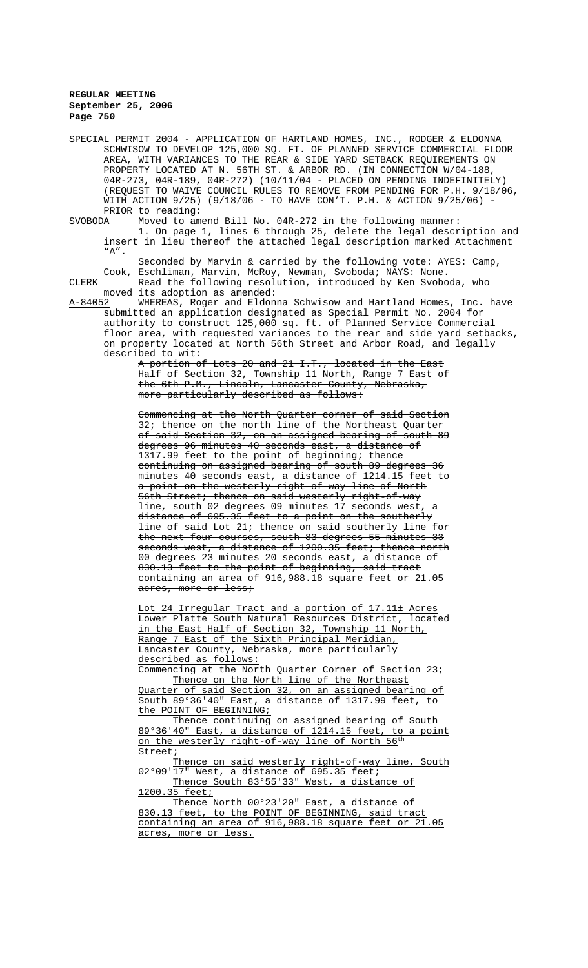|         |         | SPECIAL PERMIT 2004 - APPLICATION OF HARTLAND HOMES, INC., RODGER & ELDONNA |
|---------|---------|-----------------------------------------------------------------------------|
|         |         | SCHWISOW TO DEVELOP 125,000 SQ. FT. OF PLANNED SERVICE COMMERCIAL FLOOR     |
|         |         | AREA, WITH VARIANCES TO THE REAR & SIDE YARD SETBACK REQUIREMENTS ON        |
|         |         | PROPERTY LOCATED AT N. 56TH ST. & ARBOR RD. (IN CONNECTION W/04-188,        |
|         |         | 04R-273, 04R-189, 04R-272) (10/11/04 - PLACED ON PENDING INDEFINITELY)      |
|         |         | (REQUEST TO WAIVE COUNCIL RULES TO REMOVE FROM PENDING FOR P.H. 9/18/06,    |
|         |         | WITH ACTION 9/25) (9/18/06 - TO HAVE CON'T. P.H. & ACTION 9/25/06) -        |
|         |         | PRIOR to reading:                                                           |
| SVOBODA |         | Moved to amend Bill No. $04R-272$ in the following manner:                  |
|         |         | 1. On page 1, lines 6 through 25, delete the legal description and          |
|         |         | insert in lieu thereof the attached legal description marked Attachment     |
|         | $"A"$ . |                                                                             |
|         |         | Seconded by Marvin & carried by the following vote: AYES: Camp,             |
|         |         | Cook, Eschliman, Marvin, McRoy, Newman, Svoboda; NAYS: None.                |
| CLERK   |         | Read the following resolution, introduced by Ken Svoboda, who               |
|         |         |                                                                             |
|         |         | moved its adoption as amended:                                              |
| A-84052 |         | WHEREAS, Roger and Eldonna Schwisow and Hartland Homes, Inc. have           |
|         |         | submitted an application designated as Special Permit No. 2004 for          |
|         |         | authority to construct 125,000 sq. ft. of Planned Service Commercial        |
|         |         | floor area, with requested variances to the rear and side yard setbacks,    |
|         |         | on property located at North 56th Street and Arbor Road, and legally        |
|         |         | described to wit:                                                           |
|         |         | A portion of Lots 20 and 21 I.T., located in the East                       |
|         |         | Half of Section 32, Township 11 North, Range 7 East of                      |
|         |         | the 6th P.M., Lincoln, Lancaster County, Nebraska,                          |
|         |         | more particularly described as follows:                                     |
|         |         | Commencing at the North Quarter corner of said Section                      |
|         |         | 32; thence on the north line of the Northeast Quarter                       |
|         |         | of said Section 32, on an assigned bearing of south 89                      |
|         |         | degrees 96 minutes 40 seconds east, a distance of                           |
|         |         | 1317.99 feet to the point of beginning; thence                              |
|         |         | <u>continuing on assigned bearing of south 89 degrees 36</u>                |
|         |         |                                                                             |
|         |         | minutes 40 seconds east, a distance of 1214.15 feet to                      |
|         |         | a point on the westerly right-of-way line of North                          |
|         |         | 56th Street; thence on said westerly right-of-way                           |
|         |         | line, south 02 degrees 09 minutes 17 seconds west, a                        |
|         |         | distance of 695.35 feet to a point on the southerly                         |
|         |         | line of said Lot 21; thence on said southerly line for                      |
|         |         | the next four courses, south 83 degrees 55 minutes 33                       |
|         |         | seconds west, a distance of 1200.35 feet; thence north                      |
|         |         | 00 degrees 23 minutes 20 seconds east, a distance of                        |
|         |         | 830.13 feet to the point of beginning, said tract                           |
|         |         | containing an area of 916,988.18 square feet or 21.05                       |
|         |         | acres, more or less;                                                        |
|         |         | Lot 24 Irregular Tract and a portion of 17.11± Acres                        |
|         |         | Lower Platte South Natural Resources District, located                      |
|         |         | in the East Half of Section 32. Township 11 North.                          |

in the East Half of Section 32, Township 11 North, Range 7 East of the Sixth Principal Meridian, Lancaster County, Nebraska, more particularly described as follows:

Commencing at the North Quarter Corner of Section 23; Thence on the North line of the Northeast Quarter of said Section 32, on an assigned bearing of South 89°36'40" East, a distance of 1317.99 feet, to the POINT OF BEGINNING;

Thence continuing on assigned bearing of South 89°36'40" East, a distance of 1214.15 feet, to a point on the westerly right-of-way line of North 56<sup>th</sup> Street;

Thence on said westerly right-of-way line, South 02°09'17" West, a distance of 695.35 feet; Thence South 83°55'33" West, a distance of

1200.35 feet; Thence North 00°23'20" East, a distance of 830.13 feet, to the POINT OF BEGINNING, said tract containing an area of 916,988.18 square feet or 21.05 acres, more or less.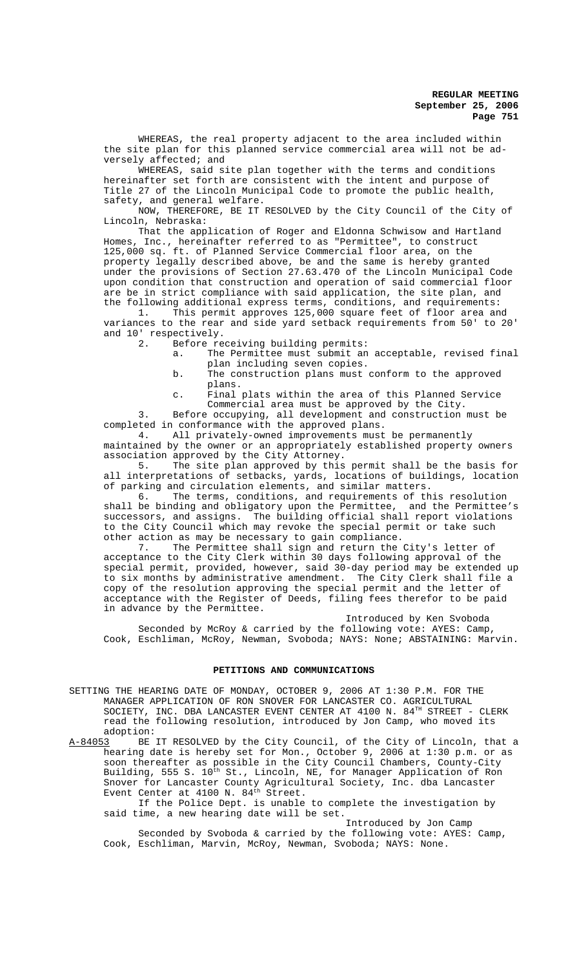WHEREAS, the real property adjacent to the area included within the site plan for this planned service commercial area will not be adversely affected; and

WHEREAS, said site plan together with the terms and conditions hereinafter set forth are consistent with the intent and purpose of Title 27 of the Lincoln Municipal Code to promote the public health, safety, and general welfare.

NOW, THEREFORE, BE IT RESOLVED by the City Council of the City of Lincoln, Nebraska:

That the application of Roger and Eldonna Schwisow and Hartland Homes, Inc., hereinafter referred to as "Permittee", to construct 125,000 sq. ft. of Planned Service Commercial floor area, on the property legally described above, be and the same is hereby granted under the provisions of Section 27.63.470 of the Lincoln Municipal Code upon condition that construction and operation of said commercial floor are be in strict compliance with said application, the site plan, and

the following additional express terms, conditions, and requirements:<br>1. This permit approves 125,000 square feet of floor area an This permit approves 125,000 square feet of floor area and variances to the rear and side yard setback requirements from 50' to 20' and 10' respectively.<br>2. Before real

Before receiving building permits:

- a. The Permittee must submit an acceptable, revised final plan including seven copies.
- b. The construction plans must conform to the approved plans.
- c. Final plats within the area of this Planned Service Commercial area must be approved by the City.

3. Before occupying, all development and construction must be completed in conformance with the approved plans.<br>4. All privately-owned improvements must

All privately-owned improvements must be permanently maintained by the owner or an appropriately established property owners association approved by the City Attorney.

5. The site plan approved by this permit shall be the basis for all interpretations of setbacks, yards, locations of buildings, location of parking and circulation elements, and similar matters.

6. The terms, conditions, and requirements of this resolution shall be binding and obligatory upon the Permittee, and the Permittee's successors, and assigns. The building official shall report violations to the City Council which may revoke the special permit or take such other action as may be necessary to gain compliance.<br>7. The Permittee shall sign and return the

The Permittee shall sign and return the City's letter of acceptance to the City Clerk within 30 days following approval of the special permit, provided, however, said 30-day period may be extended up to six months by administrative amendment. The City Clerk shall file a copy of the resolution approving the special permit and the letter of acceptance with the Register of Deeds, filing fees therefor to be paid in advance by the Permittee.

Introduced by Ken Svoboda Seconded by McRoy & carried by the following vote: AYES: Camp, Cook, Eschliman, McRoy, Newman, Svoboda; NAYS: None; ABSTAINING: Marvin.

#### **PETITIONS AND COMMUNICATIONS**

- SETTING THE HEARING DATE OF MONDAY, OCTOBER 9, 2006 AT 1:30 P.M. FOR THE MANAGER APPLICATION OF RON SNOVER FOR LANCASTER CO. AGRICULTURAL SOCIETY, INC. DBA LANCASTER EVENT CENTER AT 4100 N.  $84^{\text{th}}$  STREET - CLERK read the following resolution, introduced by Jon Camp, who moved its
- adoption:<br><u>A-84053</u> BE BE IT RESOLVED by the City Council, of the City of Lincoln, that a hearing date is hereby set for Mon., October 9, 2006 at 1:30 p.m. or as soon thereafter as possible in the City Council Chambers, County-City Building, 555 S. 10<sup>th</sup> St., Lincoln, NE, for Manager Application of Ron Snover for Lancaster County Agricultural Society, Inc. dba Lancaster Event Center at 4100 N. 84<sup>th</sup> Street.

If the Police Dept. is unable to complete the investigation by said time, a new hearing date will be set.

Introduced by Jon Camp Seconded by Svoboda & carried by the following vote: AYES: Camp, Cook, Eschliman, Marvin, McRoy, Newman, Svoboda; NAYS: None.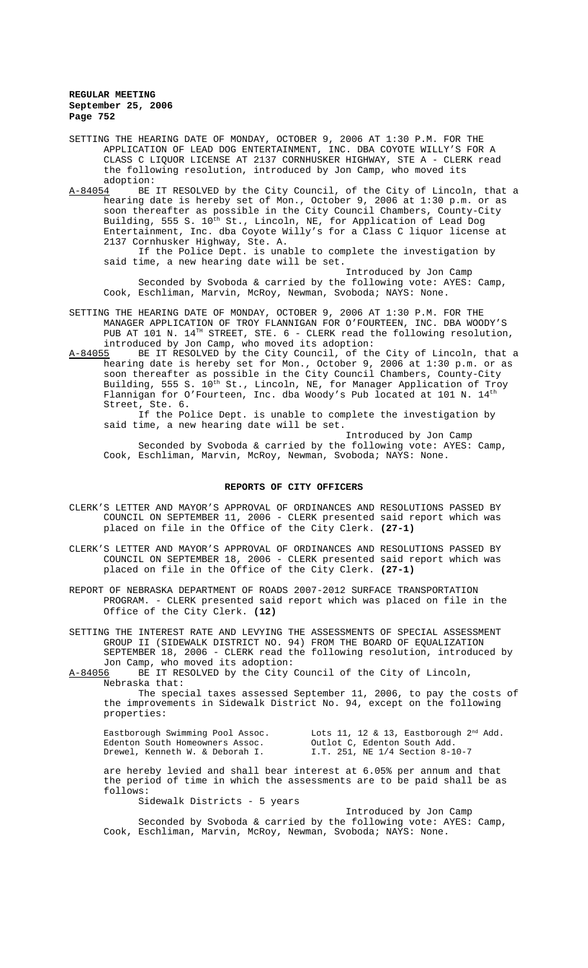SETTING THE HEARING DATE OF MONDAY, OCTOBER 9, 2006 AT 1:30 P.M. FOR THE APPLICATION OF LEAD DOG ENTERTAINMENT, INC. DBA COYOTE WILLY'S FOR A CLASS C LIQUOR LICENSE AT 2137 CORNHUSKER HIGHWAY, STE A - CLERK read the following resolution, introduced by Jon Camp, who moved its adoption:<br>A-84054 BE

BE IT RESOLVED by the City Council, of the City of Lincoln, that a hearing date is hereby set of Mon., October 9, 2006 at 1:30 p.m. or as soon thereafter as possible in the City Council Chambers, County-City Building, 555 S.  $10^{\overline{t}h}$  St., Lincoln, NE, for Application of Lead Dog Entertainment, Inc. dba Coyote Willy's for a Class C liquor license at 2137 Cornhusker Highway, Ste. A.

If the Police Dept. is unable to complete the investigation by said time, a new hearing date will be set.

Introduced by Jon Camp

Seconded by Svoboda & carried by the following vote: AYES: Camp, Cook, Eschliman, Marvin, McRoy, Newman, Svoboda; NAYS: None.

- SETTING THE HEARING DATE OF MONDAY, OCTOBER 9, 2006 AT 1:30 P.M. FOR THE MANAGER APPLICATION OF TROY FLANNIGAN FOR O'FOURTEEN, INC. DBA WOODY'S PUB AT 101 N. 14<sup>TH</sup> STREET, STE. 6 - CLERK read the following resolution, introduced by Jon Camp, who moved its adoption:
- A-84055 BE IT RESOLVED by the City Council, of the City of Lincoln, that a hearing date is hereby set for Mon., October 9, 2006 at 1:30 p.m. or as soon thereafter as possible in the City Council Chambers, County-City Building, 555 S. 10<sup>th</sup> St., Lincoln, NE, for Manager Application of Troy Flannigan for O'Fourteen, Inc. dba Woody's Pub located at 101 N. 14<sup>th</sup> Street, Ste. 6.

If the Police Dept. is unable to complete the investigation by said time, a new hearing date will be set.

Introduced by Jon Camp

Seconded by Svoboda & carried by the following vote: AYES: Camp, Cook, Eschliman, Marvin, McRoy, Newman, Svoboda; NAYS: None.

#### **REPORTS OF CITY OFFICERS**

- CLERK'S LETTER AND MAYOR'S APPROVAL OF ORDINANCES AND RESOLUTIONS PASSED BY COUNCIL ON SEPTEMBER 11, 2006 - CLERK presented said report which was placed on file in the Office of the City Clerk. **(27-1)**
- CLERK'S LETTER AND MAYOR'S APPROVAL OF ORDINANCES AND RESOLUTIONS PASSED BY COUNCIL ON SEPTEMBER 18, 2006 - CLERK presented said report which was placed on file in the Office of the City Clerk. **(27-1)**
- REPORT OF NEBRASKA DEPARTMENT OF ROADS 2007-2012 SURFACE TRANSPORTATION PROGRAM. - CLERK presented said report which was placed on file in the Office of the City Clerk. **(12)**

SETTING THE INTEREST RATE AND LEVYING THE ASSESSMENTS OF SPECIAL ASSESSMENT GROUP II (SIDEWALK DISTRICT NO. 94) FROM THE BOARD OF EQUALIZATION SEPTEMBER 18, 2006 - CLERK read the following resolution, introduced by Jon Camp, who moved its adoption:

A-84056 BE IT RESOLVED by the City Council of the City of Lincoln, Nebraska that:

The special taxes assessed September 11, 2006, to pay the costs of the improvements in Sidewalk District No. 94, except on the following properties:

Eastborough Swimming Pool Assoc. Lots 11, 12 & 13, Eastborough  $2^{\text{nd}}$  Add. Edenton South Homeowners Assoc.<br>Drewel, Kenneth W. & Deborah I. Drewel, Kenneth W. & Deborah I. I.T. 251, NE 1/4 Section 8-10-7

are hereby levied and shall bear interest at 6.05% per annum and that the period of time in which the assessments are to be paid shall be as follows:

Sidewalk Districts - 5 years

Introduced by Jon Camp Seconded by Svoboda & carried by the following vote: AYES: Camp, Cook, Eschliman, Marvin, McRoy, Newman, Svoboda; NAYS: None.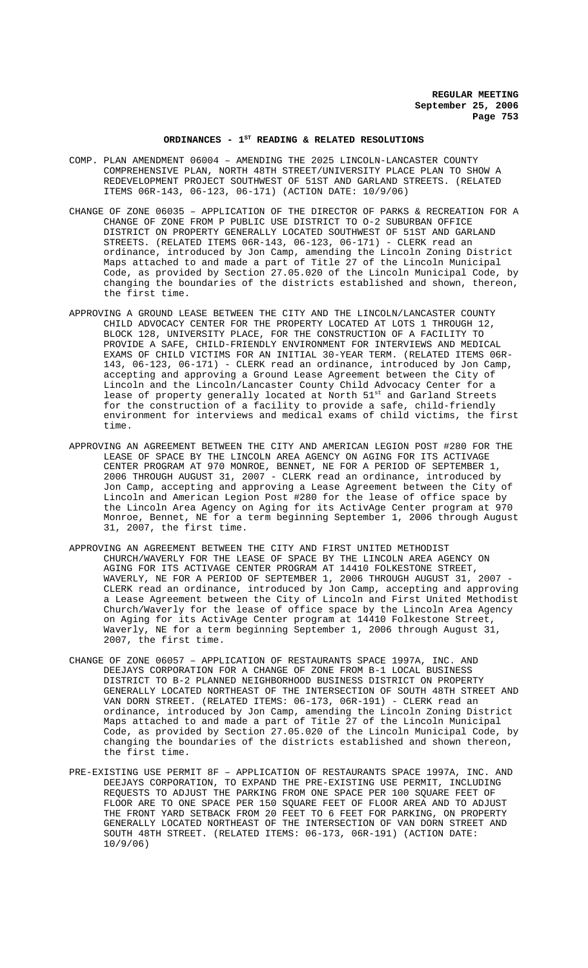# ORDINANCES - 1<sup>st</sup> READING & RELATED RESOLUTIONS

- COMP. PLAN AMENDMENT 06004 AMENDING THE 2025 LINCOLN-LANCASTER COUNTY COMPREHENSIVE PLAN, NORTH 48TH STREET/UNIVERSITY PLACE PLAN TO SHOW A REDEVELOPMENT PROJECT SOUTHWEST OF 51ST AND GARLAND STREETS. (RELATED ITEMS 06R-143, 06-123, 06-171) (ACTION DATE: 10/9/06)
- CHANGE OF ZONE 06035 APPLICATION OF THE DIRECTOR OF PARKS & RECREATION FOR A CHANGE OF ZONE FROM P PUBLIC USE DISTRICT TO O-2 SUBURBAN OFFICE DISTRICT ON PROPERTY GENERALLY LOCATED SOUTHWEST OF 51ST AND GARLAND STREETS. (RELATED ITEMS 06R-143, 06-123, 06-171) - CLERK read an ordinance, introduced by Jon Camp, amending the Lincoln Zoning District Maps attached to and made a part of Title 27 of the Lincoln Municipal Code, as provided by Section 27.05.020 of the Lincoln Municipal Code, by changing the boundaries of the districts established and shown, thereon, the first time.
- APPROVING A GROUND LEASE BETWEEN THE CITY AND THE LINCOLN/LANCASTER COUNTY CHILD ADVOCACY CENTER FOR THE PROPERTY LOCATED AT LOTS 1 THROUGH 12, BLOCK 128, UNIVERSITY PLACE, FOR THE CONSTRUCTION OF A FACILITY TO PROVIDE A SAFE, CHILD-FRIENDLY ENVIRONMENT FOR INTERVIEWS AND MEDICAL EXAMS OF CHILD VICTIMS FOR AN INITIAL 30-YEAR TERM. (RELATED ITEMS 06R-143, 06-123, 06-171) - CLERK read an ordinance, introduced by Jon Camp, accepting and approving a Ground Lease Agreement between the City of Lincoln and the Lincoln/Lancaster County Child Advocacy Center for a lease of property generally located at North 51<sup>st</sup> and Garland Streets for the construction of a facility to provide a safe, child-friendly environment for interviews and medical exams of child victims, the first time.
- APPROVING AN AGREEMENT BETWEEN THE CITY AND AMERICAN LEGION POST #280 FOR THE LEASE OF SPACE BY THE LINCOLN AREA AGENCY ON AGING FOR ITS ACTIVAGE CENTER PROGRAM AT 970 MONROE, BENNET, NE FOR A PERIOD OF SEPTEMBER 1, 2006 THROUGH AUGUST 31, 2007 - CLERK read an ordinance, introduced by Jon Camp, accepting and approving a Lease Agreement between the City of Lincoln and American Legion Post #280 for the lease of office space by the Lincoln Area Agency on Aging for its ActivAge Center program at 970 Monroe, Bennet, NE for a term beginning September 1, 2006 through August 31, 2007, the first time.
- APPROVING AN AGREEMENT BETWEEN THE CITY AND FIRST UNITED METHODIST CHURCH/WAVERLY FOR THE LEASE OF SPACE BY THE LINCOLN AREA AGENCY ON AGING FOR ITS ACTIVAGE CENTER PROGRAM AT 14410 FOLKESTONE STREET, WAVERLY, NE FOR A PERIOD OF SEPTEMBER 1, 2006 THROUGH AUGUST 31, 2007 - CLERK read an ordinance, introduced by Jon Camp, accepting and approving a Lease Agreement between the City of Lincoln and First United Methodist Church/Waverly for the lease of office space by the Lincoln Area Agency on Aging for its ActivAge Center program at 14410 Folkestone Street, Waverly, NE for a term beginning September 1, 2006 through August 31, 2007, the first time.
- CHANGE OF ZONE 06057 APPLICATION OF RESTAURANTS SPACE 1997A, INC. AND DEEJAYS CORPORATION FOR A CHANGE OF ZONE FROM B-1 LOCAL BUSINESS DISTRICT TO B-2 PLANNED NEIGHBORHOOD BUSINESS DISTRICT ON PROPERTY GENERALLY LOCATED NORTHEAST OF THE INTERSECTION OF SOUTH 48TH STREET AND VAN DORN STREET. (RELATED ITEMS: 06-173, 06R-191) - CLERK read an ordinance, introduced by Jon Camp, amending the Lincoln Zoning District Maps attached to and made a part of Title 27 of the Lincoln Municipal Code, as provided by Section 27.05.020 of the Lincoln Municipal Code, by changing the boundaries of the districts established and shown thereon, the first time.
- PRE-EXISTING USE PERMIT 8F APPLICATION OF RESTAURANTS SPACE 1997A, INC. AND DEEJAYS CORPORATION, TO EXPAND THE PRE-EXISTING USE PERMIT, INCLUDING REQUESTS TO ADJUST THE PARKING FROM ONE SPACE PER 100 SQUARE FEET OF FLOOR ARE TO ONE SPACE PER 150 SQUARE FEET OF FLOOR AREA AND TO ADJUST THE FRONT YARD SETBACK FROM 20 FEET TO 6 FEET FOR PARKING, ON PROPERTY GENERALLY LOCATED NORTHEAST OF THE INTERSECTION OF VAN DORN STREET AND SOUTH 48TH STREET. (RELATED ITEMS: 06-173, 06R-191) (ACTION DATE: 10/9/06)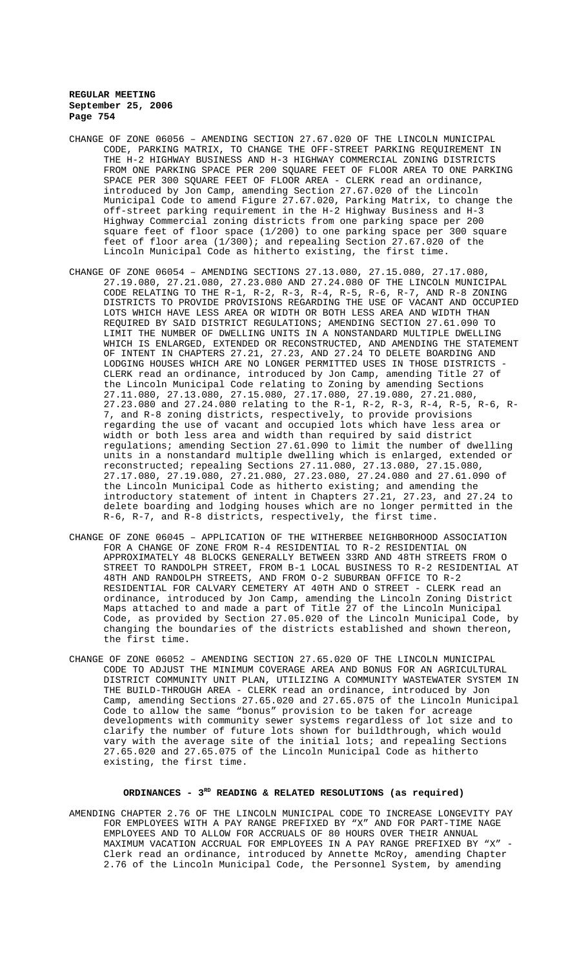- CHANGE OF ZONE 06056 AMENDING SECTION 27.67.020 OF THE LINCOLN MUNICIPAL CODE, PARKING MATRIX, TO CHANGE THE OFF-STREET PARKING REQUIREMENT IN THE H-2 HIGHWAY BUSINESS AND H-3 HIGHWAY COMMERCIAL ZONING DISTRICTS FROM ONE PARKING SPACE PER 200 SQUARE FEET OF FLOOR AREA TO ONE PARKING SPACE PER 300 SQUARE FEET OF FLOOR AREA - CLERK read an ordinance, introduced by Jon Camp, amending Section 27.67.020 of the Lincoln Municipal Code to amend Figure 27.67.020, Parking Matrix, to change the off-street parking requirement in the H-2 Highway Business and H-3 Highway Commercial zoning districts from one parking space per 200 square feet of floor space (1/200) to one parking space per 300 square feet of floor area (1/300); and repealing Section 27.67.020 of the Lincoln Municipal Code as hitherto existing, the first time.
- CHANGE OF ZONE 06054 AMENDING SECTIONS 27.13.080, 27.15.080, 27.17.080, 27.19.080, 27.21.080, 27.23.080 AND 27.24.080 OF THE LINCOLN MUNICIPAL CODE RELATING TO THE R-1, R-2, R-3, R-4, R-5, R-6, R-7, AND R-8 ZONING DISTRICTS TO PROVIDE PROVISIONS REGARDING THE USE OF VACANT AND OCCUPIED LOTS WHICH HAVE LESS AREA OR WIDTH OR BOTH LESS AREA AND WIDTH THAN REQUIRED BY SAID DISTRICT REGULATIONS; AMENDING SECTION 27.61.090 TO LIMIT THE NUMBER OF DWELLING UNITS IN A NONSTANDARD MULTIPLE DWELLING WHICH IS ENLARGED, EXTENDED OR RECONSTRUCTED, AND AMENDING THE STATEMENT OF INTENT IN CHAPTERS 27.21, 27.23, AND 27.24 TO DELETE BOARDING AND LODGING HOUSES WHICH ARE NO LONGER PERMITTED USES IN THOSE DISTRICTS - CLERK read an ordinance, introduced by Jon Camp, amending Title 27 of the Lincoln Municipal Code relating to Zoning by amending Sections 27.11.080, 27.13.080, 27.15.080, 27.17.080, 27.19.080, 27.21.080, 27.23.080 and 27.24.080 relating to the R-1, R-2, R-3, R-4, R-5, R-6, R-7, and R-8 zoning districts, respectively, to provide provisions regarding the use of vacant and occupied lots which have less area or width or both less area and width than required by said district regulations; amending Section 27.61.090 to limit the number of dwelling units in a nonstandard multiple dwelling which is enlarged, extended or reconstructed; repealing Sections 27.11.080, 27.13.080, 27.15.080, 27.17.080, 27.19.080, 27.21.080, 27.23.080, 27.24.080 and 27.61.090 of the Lincoln Municipal Code as hitherto existing; and amending the introductory statement of intent in Chapters 27.21, 27.23, and 27.24 to delete boarding and lodging houses which are no longer permitted in the R-6, R-7, and R-8 districts, respectively, the first time.
- CHANGE OF ZONE 06045 APPLICATION OF THE WITHERBEE NEIGHBORHOOD ASSOCIATION FOR A CHANGE OF ZONE FROM R-4 RESIDENTIAL TO R-2 RESIDENTIAL ON APPROXIMATELY 48 BLOCKS GENERALLY BETWEEN 33RD AND 48TH STREETS FROM O STREET TO RANDOLPH STREET, FROM B-1 LOCAL BUSINESS TO R-2 RESIDENTIAL AT 48TH AND RANDOLPH STREETS, AND FROM O-2 SUBURBAN OFFICE TO R-2 RESIDENTIAL FOR CALVARY CEMETERY AT 40TH AND O STREET - CLERK read an ordinance, introduced by Jon Camp, amending the Lincoln Zoning District Maps attached to and made a part of Title 27 of the Lincoln Municipal Code, as provided by Section 27.05.020 of the Lincoln Municipal Code, by changing the boundaries of the districts established and shown thereon, the first time.
- CHANGE OF ZONE 06052 AMENDING SECTION 27.65.020 OF THE LINCOLN MUNICIPAL CODE TO ADJUST THE MINIMUM COVERAGE AREA AND BONUS FOR AN AGRICULTURAL DISTRICT COMMUNITY UNIT PLAN, UTILIZING A COMMUNITY WASTEWATER SYSTEM IN THE BUILD-THROUGH AREA - CLERK read an ordinance, introduced by Jon Camp, amending Sections 27.65.020 and 27.65.075 of the Lincoln Municipal Code to allow the same "bonus" provision to be taken for acreage developments with community sewer systems regardless of lot size and to clarify the number of future lots shown for buildthrough, which would vary with the average site of the initial lots; and repealing Sections 27.65.020 and 27.65.075 of the Lincoln Municipal Code as hitherto existing, the first time.

#### ORDINANCES - 3<sup>RD</sup> READING & RELATED RESOLUTIONS (as required)

AMENDING CHAPTER 2.76 OF THE LINCOLN MUNICIPAL CODE TO INCREASE LONGEVITY PAY FOR EMPLOYEES WITH A PAY RANGE PREFIXED BY "X" AND FOR PART-TIME NAGE EMPLOYEES AND TO ALLOW FOR ACCRUALS OF 80 HOURS OVER THEIR ANNUAL MAXIMUM VACATION ACCRUAL FOR EMPLOYEES IN A PAY RANGE PREFIXED BY "X" - Clerk read an ordinance, introduced by Annette McRoy, amending Chapter 2.76 of the Lincoln Municipal Code, the Personnel System, by amending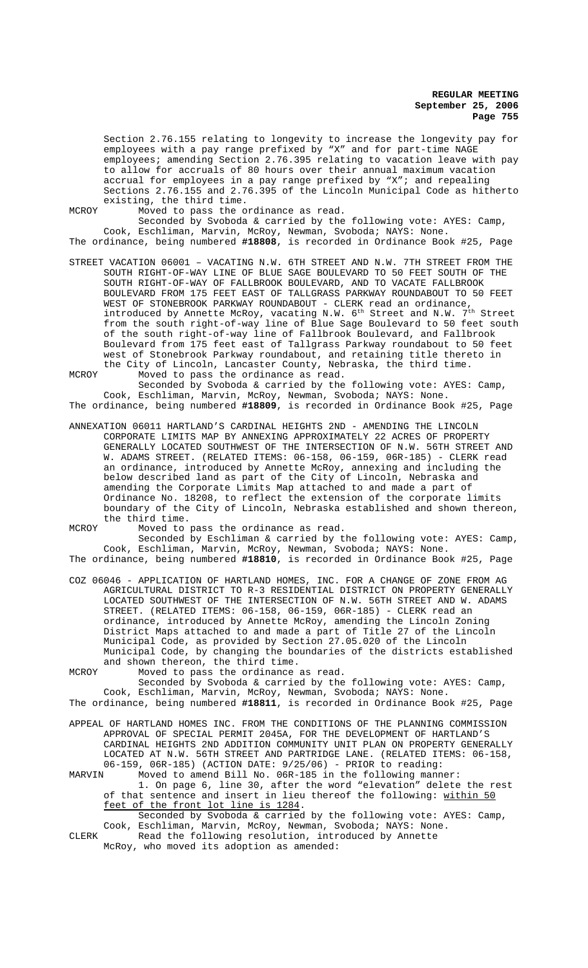Section 2.76.155 relating to longevity to increase the longevity pay for employees with a pay range prefixed by "X" and for part-time NAGE employees; amending Section 2.76.395 relating to vacation leave with pay to allow for accruals of 80 hours over their annual maximum vacation accrual for employees in a pay range prefixed by "X"; and repealing Sections 2.76.155 and 2.76.395 of the Lincoln Municipal Code as hitherto existing, the third time.

MCROY Moved to pass the ordinance as read.

Seconded by Svoboda & carried by the following vote: AYES: Camp, Cook, Eschliman, Marvin, McRoy, Newman, Svoboda; NAYS: None. The ordinance, being numbered **#18808**, is recorded in Ordinance Book #25, Page

STREET VACATION 06001 – VACATING N.W. 6TH STREET AND N.W. 7TH STREET FROM THE SOUTH RIGHT-OF-WAY LINE OF BLUE SAGE BOULEVARD TO 50 FEET SOUTH OF THE SOUTH RIGHT-OF-WAY OF FALLBROOK BOULEVARD, AND TO VACATE FALLBROOK BOULEVARD FROM 175 FEET EAST OF TALLGRASS PARKWAY ROUNDABOUT TO 50 FEET WEST OF STONEBROOK PARKWAY ROUNDABOUT - CLERK read an ordinance, introduced by Annette McRoy, vacating N.W.  $6^{\text{th}}$  Street and N.W.  $7^{\text{th}}$  Street from the south right-of-way line of Blue Sage Boulevard to 50 feet south of the south right-of-way line of Fallbrook Boulevard, and Fallbrook Boulevard from 175 feet east of Tallgrass Parkway roundabout to 50 feet west of Stonebrook Parkway roundabout, and retaining title thereto in the City of Lincoln, Lancaster County, Nebraska, the third time. MCROY Moved to pass the ordinance as read.

Seconded by Svoboda & carried by the following vote: AYES: Camp, Cook, Eschliman, Marvin, McRoy, Newman, Svoboda; NAYS: None.

The ordinance, being numbered **#18809**, is recorded in Ordinance Book #25, Page

ANNEXATION 06011 HARTLAND'S CARDINAL HEIGHTS 2ND - AMENDING THE LINCOLN CORPORATE LIMITS MAP BY ANNEXING APPROXIMATELY 22 ACRES OF PROPERTY GENERALLY LOCATED SOUTHWEST OF THE INTERSECTION OF N.W. 56TH STREET AND W. ADAMS STREET. (RELATED ITEMS: 06-158, 06-159, 06R-185) - CLERK read an ordinance, introduced by Annette McRoy, annexing and including the below described land as part of the City of Lincoln, Nebraska and amending the Corporate Limits Map attached to and made a part of Ordinance No. 18208, to reflect the extension of the corporate limits boundary of the City of Lincoln, Nebraska established and shown thereon, the third time.

MCROY Moved to pass the ordinance as read.

Seconded by Eschliman & carried by the following vote: AYES: Camp, Cook, Eschliman, Marvin, McRoy, Newman, Svoboda; NAYS: None. The ordinance, being numbered **#18810**, is recorded in Ordinance Book #25, Page

COZ 06046 - APPLICATION OF HARTLAND HOMES, INC. FOR A CHANGE OF ZONE FROM AG AGRICULTURAL DISTRICT TO R-3 RESIDENTIAL DISTRICT ON PROPERTY GENERALLY LOCATED SOUTHWEST OF THE INTERSECTION OF N.W. 56TH STREET AND W. ADAMS STREET. (RELATED ITEMS: 06-158, 06-159, 06R-185) - CLERK read an ordinance, introduced by Annette McRoy, amending the Lincoln Zoning District Maps attached to and made a part of Title 27 of the Lincoln Municipal Code, as provided by Section 27.05.020 of the Lincoln Municipal Code, by changing the boundaries of the districts established

and shown thereon, the third time. MCROY Moved to pass the ordinance as read.

Seconded by Svoboda & carried by the following vote: AYES: Camp, Cook, Eschliman, Marvin, McRoy, Newman, Svoboda; NAYS: None. The ordinance, being numbered **#18811**, is recorded in Ordinance Book #25, Page

- APPEAL OF HARTLAND HOMES INC. FROM THE CONDITIONS OF THE PLANNING COMMISSION APPROVAL OF SPECIAL PERMIT 2045A, FOR THE DEVELOPMENT OF HARTLAND'S CARDINAL HEIGHTS 2ND ADDITION COMMUNITY UNIT PLAN ON PROPERTY GENERALLY LOCATED AT N.W. 56TH STREET AND PARTRIDGE LANE. (RELATED ITEMS: 06-158, 06-159, 06R-185) (ACTION DATE: 9/25/06) - PRIOR to reading:<br>MARVIN Moved to amend Bill No. 06R-185 in the following manne
- Moved to amend Bill No. 06R-185 in the following manner: 1. On page 6, line 30, after the word "elevation" delete the rest of that sentence and insert in lieu thereof the following: within 50 feet of the front lot line is 1284. Seconded by Svoboda & carried by the following vote: AYES: Camp,

Cook, Eschliman, Marvin, McRoy, Newman, Svoboda; NAYS: None. CLERK Read the following resolution, introduced by Annette McRoy, who moved its adoption as amended: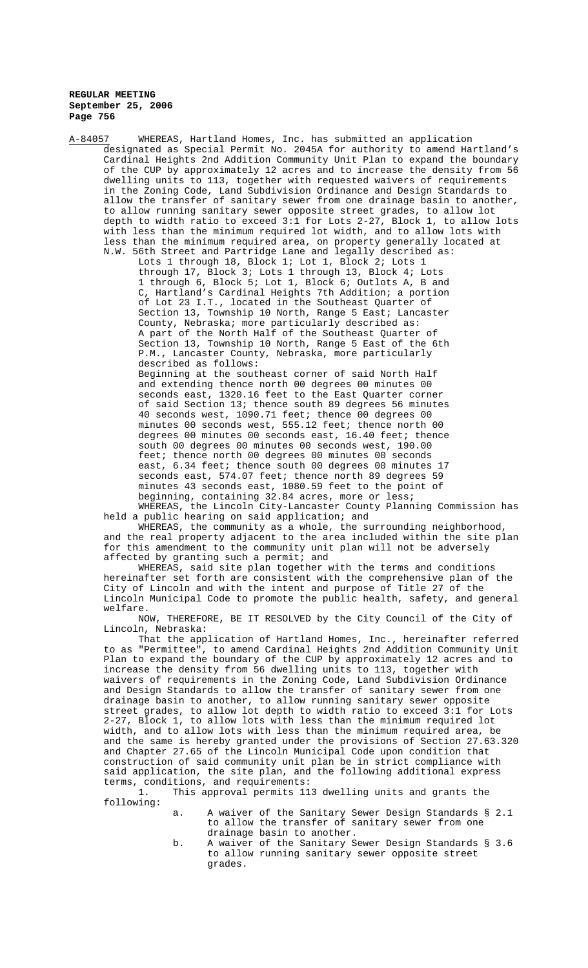A-84057 WHEREAS, Hartland Homes, Inc. has submitted an application designated as Special Permit No. 2045A for authority to amend Hartland's Cardinal Heights 2nd Addition Community Unit Plan to expand the boundary of the CUP by approximately 12 acres and to increase the density from 56 dwelling units to 113, together with requested waivers of requirements in the Zoning Code, Land Subdivision Ordinance and Design Standards to allow the transfer of sanitary sewer from one drainage basin to another, to allow running sanitary sewer opposite street grades, to allow lot depth to width ratio to exceed 3:1 for Lots 2-27, Block 1, to allow lots with less than the minimum required lot width, and to allow lots with less than the minimum required area, on property generally located at N.W. 56th Street and Partridge Lane and legally described as: Lots 1 through 18, Block 1; Lot 1, Block 2; Lots 1 through 17, Block 3; Lots 1 through 13, Block 4; Lots 1 through 6, Block 5; Lot 1, Block 6; Outlots A, B and C, Hartland's Cardinal Heights 7th Addition; a portion of Lot 23 I.T., located in the Southeast Quarter of Section 13, Township 10 North, Range 5 East; Lancaster County, Nebraska; more particularly described as: A part of the North Half of the Southeast Quarter of Section 13, Township 10 North, Range 5 East of the 6th P.M., Lancaster County, Nebraska, more particularly described as follows: Beginning at the southeast corner of said North Half and extending thence north 00 degrees 00 minutes 00 seconds east, 1320.16 feet to the East Quarter corner of said Section 13; thence south 89 degrees 56 minutes 40 seconds west, 1090.71 feet; thence 00 degrees 00 minutes 00 seconds west, 555.12 feet; thence north 00 degrees 00 minutes 00 seconds east, 16.40 feet; thence south 00 degrees 00 minutes 00 seconds west, 190.00 feet; thence north 00 degrees 00 minutes 00 seconds east, 6.34 feet; thence south 00 degrees 00 minutes 17 seconds east, 574.07 feet; thence north 89 degrees 59 minutes 43 seconds east, 1080.59 feet to the point of beginning, containing 32.84 acres, more or less;

WHEREAS, the Lincoln City-Lancaster County Planning Commission has held a public hearing on said application; and

WHEREAS, the community as a whole, the surrounding neighborhood, and the real property adjacent to the area included within the site plan for this amendment to the community unit plan will not be adversely affected by granting such a permit; and

WHEREAS, said site plan together with the terms and conditions hereinafter set forth are consistent with the comprehensive plan of the City of Lincoln and with the intent and purpose of Title 27 of the Lincoln Municipal Code to promote the public health, safety, and general welfare.

NOW, THEREFORE, BE IT RESOLVED by the City Council of the City of Lincoln, Nebraska:

That the application of Hartland Homes, Inc., hereinafter referred to as "Permittee", to amend Cardinal Heights 2nd Addition Community Unit Plan to expand the boundary of the CUP by approximately 12 acres and to increase the density from 56 dwelling units to 113, together with waivers of requirements in the Zoning Code, Land Subdivision Ordinance and Design Standards to allow the transfer of sanitary sewer from one drainage basin to another, to allow running sanitary sewer opposite street grades, to allow lot depth to width ratio to exceed 3:1 for Lots 2-27, Block 1, to allow lots with less than the minimum required lot width, and to allow lots with less than the minimum required area, be and the same is hereby granted under the provisions of Section 27.63.320 and Chapter 27.65 of the Lincoln Municipal Code upon condition that construction of said community unit plan be in strict compliance with said application, the site plan, and the following additional express terms, conditions, and requirements:

1. This approval permits 113 dwelling units and grants the following:

- a. A waiver of the Sanitary Sewer Design Standards § 2.1 to allow the transfer of sanitary sewer from one drainage basin to another.
- b. A waiver of the Sanitary Sewer Design Standards § 3.6 to allow running sanitary sewer opposite street grades.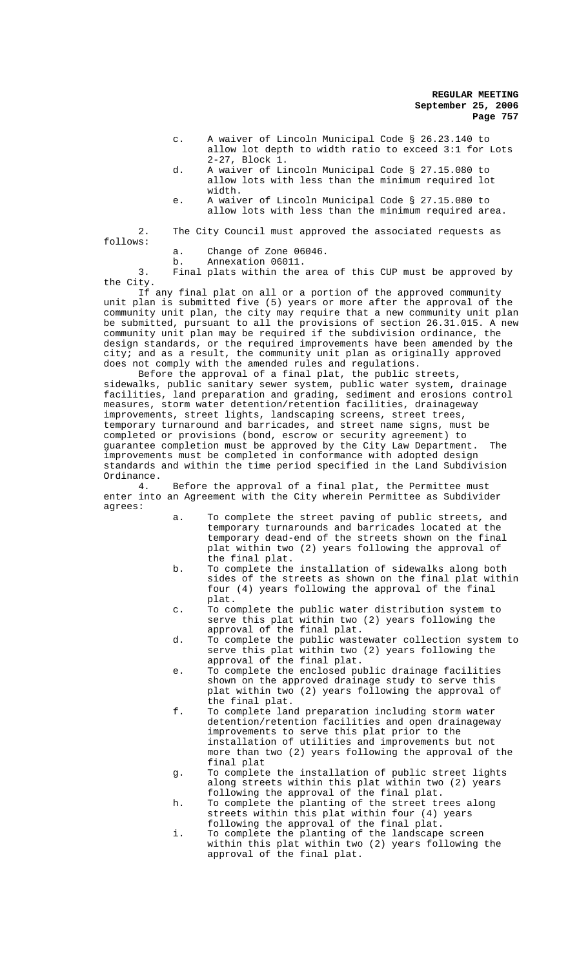- c. A waiver of Lincoln Municipal Code § 26.23.140 to allow lot depth to width ratio to exceed 3:1 for Lots 2-27, Block 1.
- d. A waiver of Lincoln Municipal Code § 27.15.080 to allow lots with less than the minimum required lot width.
- e. A waiver of Lincoln Municipal Code § 27.15.080 to allow lots with less than the minimum required area.

2. The City Council must approved the associated requests as follows:

a. Change of Zone 06046.

b. Annexation 06011.

3. Final plats within the area of this CUP must be approved by the City.

If any final plat on all or a portion of the approved community unit plan is submitted five (5) years or more after the approval of the community unit plan, the city may require that a new community unit plan be submitted, pursuant to all the provisions of section  $26.31.015.$  A new community unit plan may be required if the subdivision ordinance, the design standards, or the required improvements have been amended by the city; and as a result, the community unit plan as originally approved does not comply with the amended rules and regulations.

Before the approval of a final plat, the public streets, sidewalks, public sanitary sewer system, public water system, drainage facilities, land preparation and grading, sediment and erosions control measures, storm water detention/retention facilities, drainageway improvements, street lights, landscaping screens, street trees, temporary turnaround and barricades, and street name signs, must be completed or provisions (bond, escrow or security agreement) to guarantee completion must be approved by the City Law Department. The improvements must be completed in conformance with adopted design standards and within the time period specified in the Land Subdivision Ordinance.<br> $\frac{4}{1}$ .

Before the approval of a final plat, the Permittee must enter into an Agreement with the City wherein Permittee as Subdivider agrees:

- a. To complete the street paving of public streets*,* and temporary turnarounds and barricades located at the temporary dead-end of the streets shown on the final plat within two (2) years following the approval of the final plat.
- b. To complete the installation of sidewalks along both sides of the streets as shown on the final plat within four (4) years following the approval of the final plat.
- c. To complete the public water distribution system to serve this plat within two (2) years following the approval of the final plat.
- d. To complete the public wastewater collection system to serve this plat within two (2) years following the approval of the final plat.
- e. To complete the enclosed public drainage facilities shown on the approved drainage study to serve this plat within two (2) years following the approval of the final plat.
- f. To complete land preparation including storm water detention/retention facilities and open drainageway improvements to serve this plat prior to the installation of utilities and improvements but not more than two (2) years following the approval of the final plat
- g. To complete the installation of public street lights along streets within this plat within two (2) years following the approval of the final plat.
- h. To complete the planting of the street trees along streets within this plat within four (4) years following the approval of the final plat.
- i. To complete the planting of the landscape screen within this plat within two (2) years following the approval of the final plat.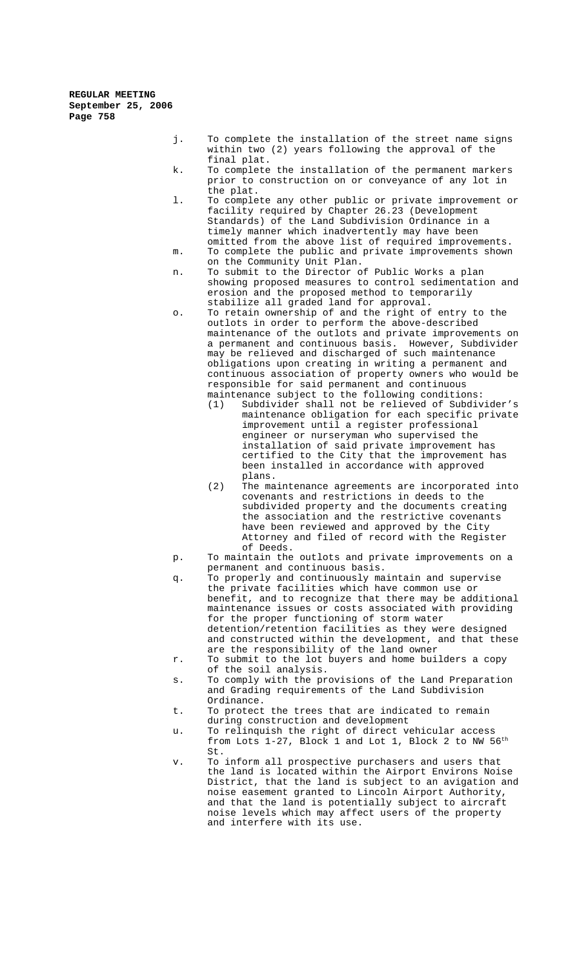- j. To complete the installation of the street name signs within two (2) years following the approval of the final plat.
- k. To complete the installation of the permanent markers prior to construction on or conveyance of any lot in the plat.
- l. To complete any other public or private improvement or facility required by Chapter 26.23 (Development Standards) of the Land Subdivision Ordinance in a timely manner which inadvertently may have been omitted from the above list of required improvements.
- m. To complete the public and private improvements shown on the Community Unit Plan.
- n. To submit to the Director of Public Works a plan showing proposed measures to control sedimentation and erosion and the proposed method to temporarily stabilize all graded land for approval.
- o. To retain ownership of and the right of entry to the outlots in order to perform the above-described maintenance of the outlots and private improvements on a permanent and continuous basis. However, Subdivider may be relieved and discharged of such maintenance obligations upon creating in writing a permanent and continuous association of property owners who would be responsible for said permanent and continuous maintenance subject to the following conditions:
	- (1) Subdivider shall not be relieved of Subdivider's maintenance obligation for each specific private improvement until a register professional engineer or nurseryman who supervised the installation of said private improvement has certified to the City that the improvement has been installed in accordance with approved plans.
	- (2) The maintenance agreements are incorporated into covenants and restrictions in deeds to the subdivided property and the documents creating the association and the restrictive covenants have been reviewed and approved by the City Attorney and filed of record with the Register of Deeds.
- p. To maintain the outlots and private improvements on a permanent and continuous basis.
- q. To properly and continuously maintain and supervise the private facilities which have common use or benefit, and to recognize that there may be additional maintenance issues or costs associated with providing for the proper functioning of storm water detention/retention facilities as they were designed and constructed within the development, and that these are the responsibility of the land owner
- r. To submit to the lot buyers and home builders a copy of the soil analysis.
- s. To comply with the provisions of the Land Preparation and Grading requirements of the Land Subdivision Ordinance.
- t. To protect the trees that are indicated to remain during construction and development
- u. To relinquish the right of direct vehicular access from Lots  $1-27$ , Block 1 and Lot 1, Block 2 to NW  $56^{\text{th}}$ St.
- v. To inform all prospective purchasers and users that the land is located within the Airport Environs Noise District, that the land is subject to an avigation and noise easement granted to Lincoln Airport Authority, and that the land is potentially subject to aircraft noise levels which may affect users of the property and interfere with its use.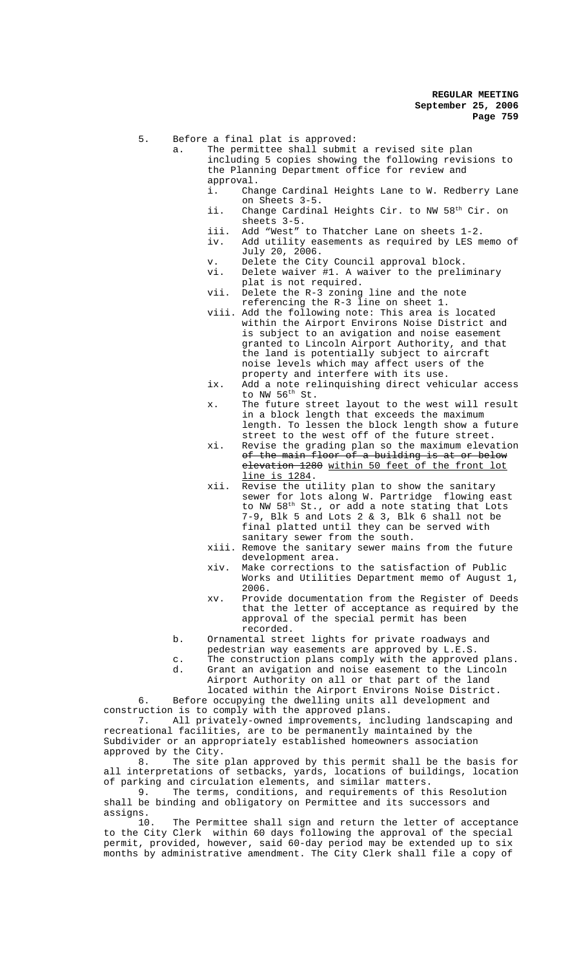5. Before a final plat is approved:

- a. The permittee shall submit a revised site plan including 5 copies showing the following revisions to the Planning Department office for review and approval.<br>i. Cha
	- Change Cardinal Heights Lane to W. Redberry Lane on Sheets 3-5.
	- ii. Change Cardinal Heights Cir. to NW 58<sup>th</sup> Cir. on sheets 3-5.
	- iii. Add "West" to Thatcher Lane on sheets 1-2.
	- iv. Add utility easements as required by LES memo of July 20, 2006.
	- v. Delete the City Council approval block.<br>vi. Delete waiver #1. A waiver to the preli
	- Delete waiver #1. A waiver to the preliminary plat is not required.
	- vii. Delete the R-3 zoning line and the note referencing the R-3 line on sheet 1.
	- viii. Add the following note: This area is located within the Airport Environs Noise District and is subject to an avigation and noise easement granted to Lincoln Airport Authority, and that the land is potentially subject to aircraft noise levels which may affect users of the property and interfere with its use.
	- ix. Add a note relinquishing direct vehicular access to NW  $56<sup>th</sup>$  St.
	- x. The future street layout to the west will result in a block length that exceeds the maximum length. To lessen the block length show a future street to the west off of the future street.
	- xi. Revise the grading plan so the maximum elevation of the main floor of a building is at or below elevation 1280 within 50 feet of the front lot line is 1284.
	- xii. Revise the utility plan to show the sanitary sewer for lots along W. Partridge flowing east to NW 58<sup>th</sup> St., or add a note stating that Lots 7-9, Blk 5 and Lots 2 & 3, Blk 6 shall not be final platted until they can be served with sanitary sewer from the south.
	- xiii. Remove the sanitary sewer mains from the future development area.
	- xiv. Make corrections to the satisfaction of Public Works and Utilities Department memo of August 1, 2006.
	- xv. Provide documentation from the Register of Deeds that the letter of acceptance as required by the approval of the special permit has been recorded.
- b. Ornamental street lights for private roadways and
	- pedestrian way easements are approved by L.E.S.
- c. The construction plans comply with the approved plans. d. Grant an avigation and noise easement to the Lincoln
	- Airport Authority on all or that part of the land

located within the Airport Environs Noise District. 6. Before occupying the dwelling units all development and

construction is to comply with the approved plans. 7. All privately-owned improvements, including landscaping and recreational facilities, are to be permanently maintained by the Subdivider or an appropriately established homeowners association

approved by the City.<br>8. The site The site plan approved by this permit shall be the basis for all interpretations of setbacks, yards, locations of buildings, location of parking and circulation elements, and similar matters.

9. The terms, conditions, and requirements of this Resolution shall be binding and obligatory on Permittee and its successors and assigns.<br>10.

The Permittee shall sign and return the letter of acceptance to the City Clerk within 60 days following the approval of the special permit, provided, however, said 60-day period may be extended up to six months by administrative amendment. The City Clerk shall file a copy of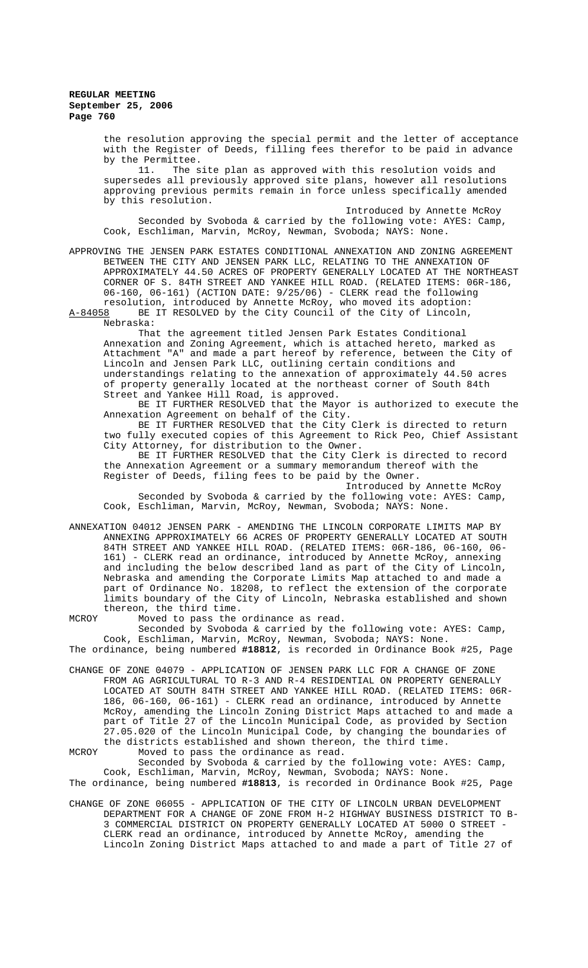the resolution approving the special permit and the letter of acceptance with the Register of Deeds, filling fees therefor to be paid in advance by the Permittee.

11. The site plan as approved with this resolution voids and supersedes all previously approved site plans, however all resolutions approving previous permits remain in force unless specifically amended by this resolution.

Introduced by Annette McRoy Seconded by Svoboda & carried by the following vote: AYES: Camp, Cook, Eschliman, Marvin, McRoy, Newman, Svoboda; NAYS: None.

APPROVING THE JENSEN PARK ESTATES CONDITIONAL ANNEXATION AND ZONING AGREEMENT BETWEEN THE CITY AND JENSEN PARK LLC, RELATING TO THE ANNEXATION OF APPROXIMATELY 44.50 ACRES OF PROPERTY GENERALLY LOCATED AT THE NORTHEAST CORNER OF S. 84TH STREET AND YANKEE HILL ROAD. (RELATED ITEMS: 06R-186, 06-160, 06-161) (ACTION DATE: 9/25/06) - CLERK read the following resolution, introduced by Annette McRoy, who moved its adoption: A-84058 BE IT RESOLVED by the City Council of the City of Lincoln,

Nebraska:

That the agreement titled Jensen Park Estates Conditional Annexation and Zoning Agreement, which is attached hereto, marked as Attachment "A" and made a part hereof by reference, between the City of Lincoln and Jensen Park LLC, outlining certain conditions and understandings relating to the annexation of approximately 44.50 acres of property generally located at the northeast corner of South 84th Street and Yankee Hill Road, is approved.

BE IT FURTHER RESOLVED that the Mayor is authorized to execute the Annexation Agreement on behalf of the City.

BE IT FURTHER RESOLVED that the City Clerk is directed to return two fully executed copies of this Agreement to Rick Peo, Chief Assistant City Attorney, for distribution to the Owner.

BE IT FURTHER RESOLVED that the City Clerk is directed to record the Annexation Agreement or a summary memorandum thereof with the Register of Deeds, filing fees to be paid by the Owner.

Introduced by Annette McRoy

Seconded by Svoboda & carried by the following vote: AYES: Camp, Cook, Eschliman, Marvin, McRoy, Newman, Svoboda; NAYS: None.

ANNEXATION 04012 JENSEN PARK - AMENDING THE LINCOLN CORPORATE LIMITS MAP BY ANNEXING APPROXIMATELY 66 ACRES OF PROPERTY GENERALLY LOCATED AT SOUTH 84TH STREET AND YANKEE HILL ROAD. (RELATED ITEMS: 06R-186, 06-160, 06-161) - CLERK read an ordinance, introduced by Annette McRoy, annexing and including the below described land as part of the City of Lincoln, Nebraska and amending the Corporate Limits Map attached to and made a part of Ordinance No. 18208, to reflect the extension of the corporate limits boundary of the City of Lincoln, Nebraska established and shown thereon, the third time.

MCROY Moved to pass the ordinance as read.

Seconded by Svoboda & carried by the following vote: AYES: Camp, Cook, Eschliman, Marvin, McRoy, Newman, Svoboda; NAYS: None. The ordinance, being numbered **#18812**, is recorded in Ordinance Book #25, Page

CHANGE OF ZONE 04079 - APPLICATION OF JENSEN PARK LLC FOR A CHANGE OF ZONE FROM AG AGRICULTURAL TO R-3 AND R-4 RESIDENTIAL ON PROPERTY GENERALLY LOCATED AT SOUTH 84TH STREET AND YANKEE HILL ROAD. (RELATED ITEMS: 06R-186, 06-160, 06-161) - CLERK read an ordinance, introduced by Annette McRoy, amending the Lincoln Zoning District Maps attached to and made a part of Title 27 of the Lincoln Municipal Code, as provided by Section 27.05.020 of the Lincoln Municipal Code, by changing the boundaries of the districts established and shown thereon, the third time. MCROY Moved to pass the ordinance as read.

Seconded by Svoboda & carried by the following vote: AYES: Camp, Cook, Eschliman, Marvin, McRoy, Newman, Svoboda; NAYS: None. The ordinance, being numbered **#18813**, is recorded in Ordinance Book #25, Page

CHANGE OF ZONE 06055 - APPLICATION OF THE CITY OF LINCOLN URBAN DEVELOPMENT DEPARTMENT FOR A CHANGE OF ZONE FROM H-2 HIGHWAY BUSINESS DISTRICT TO B-3 COMMERCIAL DISTRICT ON PROPERTY GENERALLY LOCATED AT 5000 O STREET - CLERK read an ordinance, introduced by Annette McRoy, amending the Lincoln Zoning District Maps attached to and made a part of Title 27 of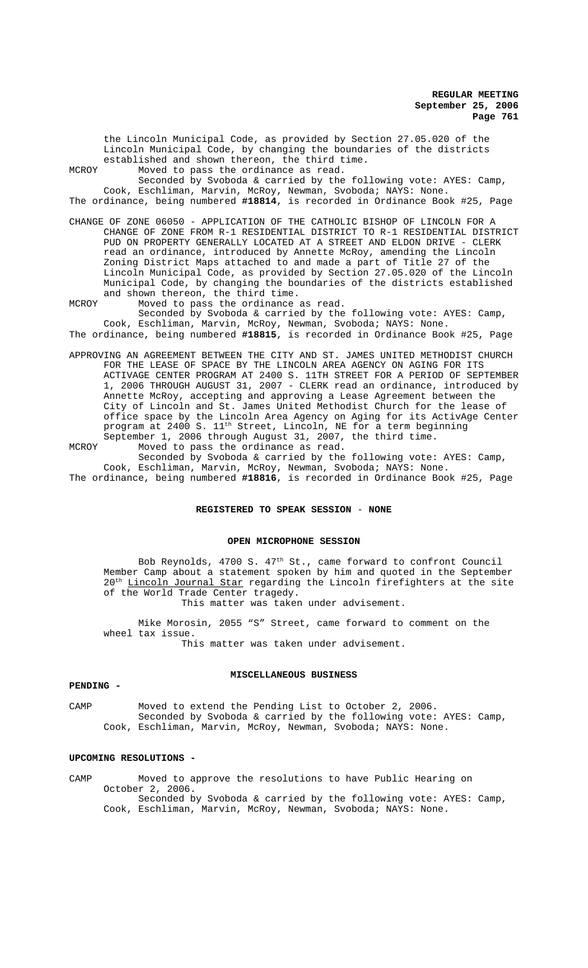the Lincoln Municipal Code, as provided by Section 27.05.020 of the Lincoln Municipal Code, by changing the boundaries of the districts established and shown thereon, the third time.

MCROY Moved to pass the ordinance as read.

Seconded by Svoboda & carried by the following vote: AYES: Camp, Cook, Eschliman, Marvin, McRoy, Newman, Svoboda; NAYS: None. The ordinance, being numbered **#18814**, is recorded in Ordinance Book #25, Page

CHANGE OF ZONE 06050 - APPLICATION OF THE CATHOLIC BISHOP OF LINCOLN FOR A CHANGE OF ZONE FROM R-1 RESIDENTIAL DISTRICT TO R-1 RESIDENTIAL DISTRICT PUD ON PROPERTY GENERALLY LOCATED AT A STREET AND ELDON DRIVE - CLERK read an ordinance, introduced by Annette McRoy, amending the Lincoln Zoning District Maps attached to and made a part of Title 27 of the Lincoln Municipal Code, as provided by Section 27.05.020 of the Lincoln Municipal Code, by changing the boundaries of the districts established and shown thereon, the third time.

MCROY Moved to pass the ordinance as read. Seconded by Svoboda & carried by the following vote: AYES: Camp, Cook, Eschliman, Marvin, McRoy, Newman, Svoboda; NAYS: None.

The ordinance, being numbered **#18815**, is recorded in Ordinance Book #25, Page

APPROVING AN AGREEMENT BETWEEN THE CITY AND ST. JAMES UNITED METHODIST CHURCH FOR THE LEASE OF SPACE BY THE LINCOLN AREA AGENCY ON AGING FOR ITS ACTIVAGE CENTER PROGRAM AT 2400 S. 11TH STREET FOR A PERIOD OF SEPTEMBER 1, 2006 THROUGH AUGUST 31, 2007 - CLERK read an ordinance, introduced by Annette McRoy, accepting and approving a Lease Agreement between the City of Lincoln and St. James United Methodist Church for the lease of office space by the Lincoln Area Agency on Aging for its ActivAge Center program at 2400 S. 11<sup>th</sup> Street, Lincoln, NE for a term beginning September 1, 2006 through August 31, 2007, the third time.

MCROY Moved to pass the ordinance as read. Seconded by Svoboda & carried by the following vote: AYES: Camp, Cook, Eschliman, Marvin, McRoy, Newman, Svoboda; NAYS: None.

The ordinance, being numbered **#18816**, is recorded in Ordinance Book #25, Page

### **REGISTERED TO SPEAK SESSION** - **NONE**

#### **OPEN MICROPHONE SESSION**

Bob Reynolds, 4700 S. 47th St., came forward to confront Council Member Camp about a statement spoken by him and quoted in the September 20<sup>th</sup> Lincoln Journal Star regarding the Lincoln firefighters at the site of the World Trade Center tragedy.

This matter was taken under advisement.

Mike Morosin, 2055 "S" Street, came forward to comment on the wheel tax issue. This matter was taken under advisement.

# **MISCELLANEOUS BUSINESS**

# **PENDING -**

CAMP Moved to extend the Pending List to October 2, 2006. Seconded by Svoboda & carried by the following vote: AYES: Camp, Cook, Eschliman, Marvin, McRoy, Newman, Svoboda; NAYS: None.

#### **UPCOMING RESOLUTIONS -**

CAMP Moved to approve the resolutions to have Public Hearing on October 2, 2006. Seconded by Svoboda & carried by the following vote: AYES: Camp, Cook, Eschliman, Marvin, McRoy, Newman, Svoboda; NAYS: None.